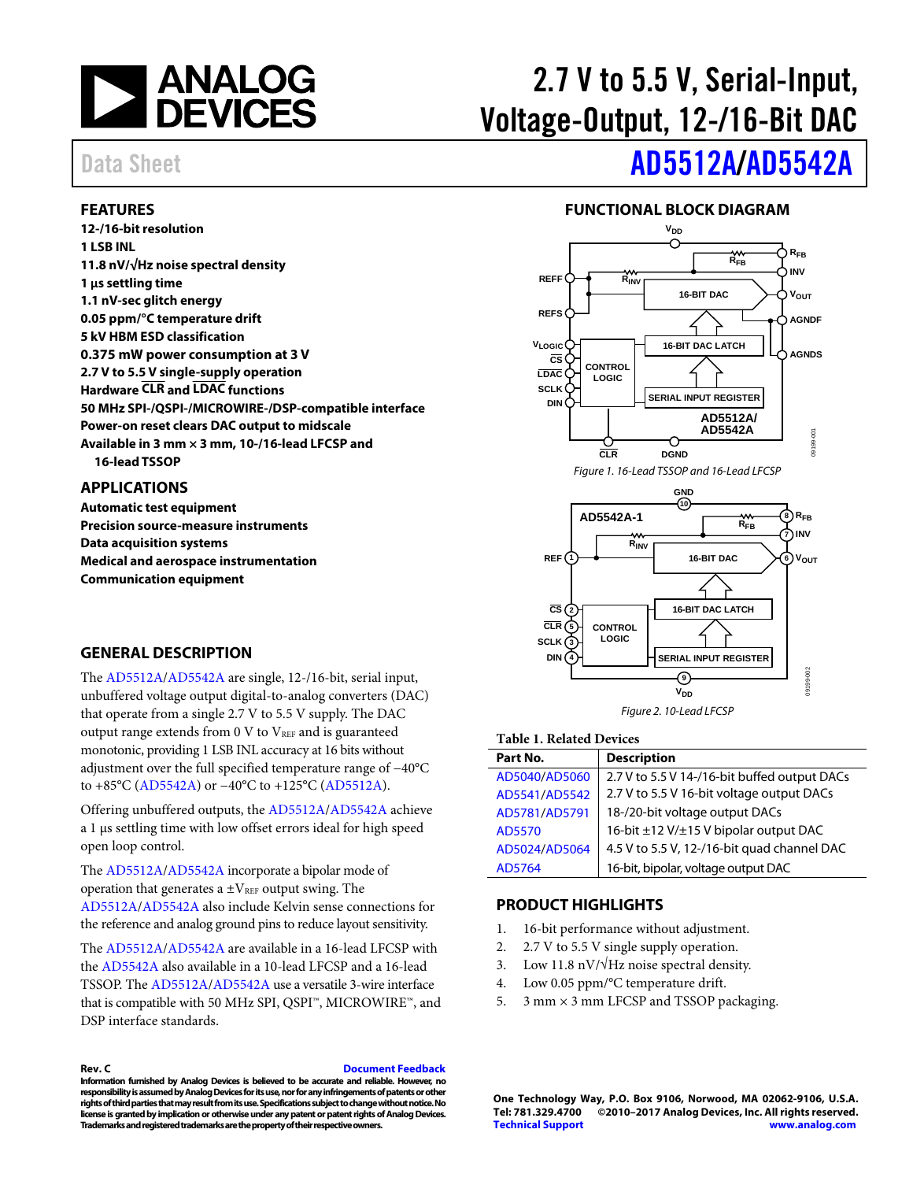

# 2.7 V to 5.5 V, Serial-Input, Voltage-Output, 12-/16-Bit DAC

#### <span id="page-0-0"></span>**FEATURES**

**12-/16-bit resolution 1 LSB INL 11.8 nV/√Hz noise spectral density 1 µs settling time 1.1 nV-sec glitch energy 0.05 ppm/°C temperature drift 5 kV HBM ESD classification 0.375 mW power consumption at 3 V 2.7 V to 5.5 V single-supply operation Hardware CLR and LDAC functions 50 MHz SPI-/QSPI-/MICROWIRE-/DSP-compatible interface Power-on reset clears DAC output to midscale Available in 3 mm × 3 mm, 10-/16-lead LFCSP and 16-lead TSSOP** 

#### <span id="page-0-1"></span>**APPLICATIONS**

**Automatic test equipment Precision source-measure instruments Data acquisition systems Medical and aerospace instrumentation Communication equipment** 

#### <span id="page-0-2"></span>**GENERAL DESCRIPTION**

The [AD5512A/](http://www.analog.com/AD5512A?doc=AD5512A_5542A.pdf)[AD5542A a](http://www.analog.com/AD5542A?doc=AD5512A_5542A.pdf)re single, 12-/16-bit, serial input, unbuffered voltage output digital-to-analog converters (DAC) that operate from a single 2.7 V to 5.5 V supply. The DAC output range extends from  $0 \text{ V}$  to  $V_{REF}$  and is guaranteed monotonic, providing 1 LSB INL accuracy at 16 bits without adjustment over the full specified temperature range of −40°C to +85°C [\(AD5542A\)](http://www.analog.com/AD5542A?doc=AD5512A_5542A.pdf) or −40°C to +125°C [\(AD5512A\)](http://www.analog.com/AD5512A?doc=AD5512A_5542A.pdf).

Offering unbuffered outputs, the [AD5512A/](http://www.analog.com/AD5512A?doc=AD5512A_5542A.pdf)[AD5542A a](http://www.analog.com/AD5542A?doc=AD5512A_5542A.pdf)chieve a 1 μs settling time with low offset errors ideal for high speed open loop control.

The [AD5512A/](http://www.analog.com/AD5512A?doc=AD5512A_5542A.pdf)[AD5542A i](http://www.analog.com/AD5542A?doc=AD5512A_5542A.pdf)ncorporate a bipolar mode of operation that generates a  $\pm V_{REF}$  output swing. The [AD5512A/](http://www.analog.com/AD5512A?doc=AD5512A_5542A.pdf)[AD5542A a](http://www.analog.com/AD5542A?doc=AD5512A_5542A.pdf)lso include Kelvin sense connections for the reference and analog ground pins to reduce layout sensitivity.

The [AD5512A/](http://www.analog.com/AD5512A?doc=AD5512A_5542A.pdf)[AD5542A a](http://www.analog.com/AD5542A?doc=AD5512A_5542A.pdf)re available in a 16-lead LFCSP with the [AD5542A a](http://www.analog.com/AD5542A?doc=AD5512A_5542A.pdf)lso available in a 10-lead LFCSP and a 16-lead TSSOP. Th[e AD5512A/](http://www.analog.com/AD5512A?doc=AD5512A_5542A.pdf)[AD5542A](http://www.analog.com/AD5542A?doc=AD5512A_5542A.pdf) use a versatile 3-wire interface that is compatible with 50 MHz SPI, QSPI™, MICROWIRE™, and DSP interface standards.

**Rev. C [Document Feedback](https://form.analog.com/Form_Pages/feedback/documentfeedback.aspx?doc=AD5512A_5542A.pdf&product=AD5512A_5542A&rev=C)** 

**Information furnished by Analog Devices is believed to be accurate and reliable. However, no responsibility is assumed by Analog Devices for its use, nor for any infringements of patents or other rights of third parties that may result from its use. Specifications subject to change without notice. No license is granted by implication or otherwise under any patent or patent rights of Analog Devices. Trademarks and registered trademarks are the property of their respective owners.** 

# Data Sheet **[AD5512A/](http://www.analog.com/AD5512A?doc=AD5512A_5542A.pdf)[AD5542A](http://www.analog.com/AD5542A?doc=AD5512A_5542A.pdf)**

#### **FUNCTIONAL BLOCK DIAGRAM**

<span id="page-0-3"></span>

Figure 1. 16-Lead TSSOP and 16-Lead LFCSP



#### Figure 2. 10-Lead LFCSP

#### **Table 1. Related Devices**

| Part No.      | <b>Description</b>                           |
|---------------|----------------------------------------------|
| AD5040/AD5060 | 2.7 V to 5.5 V 14-/16-bit buffed output DACs |
| AD5541/AD5542 | 2.7 V to 5.5 V 16-bit voltage output DACs    |
| AD5781/AD5791 | 18-/20-bit voltage output DACs               |
| AD5570        | 16-bit ±12 V/±15 V bipolar output DAC        |
| AD5024/AD5064 | 4.5 V to 5.5 V, 12-/16-bit quad channel DAC  |
| AD5764        | 16-bit, bipolar, voltage output DAC          |

#### <span id="page-0-4"></span>**PRODUCT HIGHLIGHTS**

- 1. 16-bit performance without adjustment.
- 2. 2.7 V to 5.5 V single supply operation.
- 3. Low 11.8 nV/ $\sqrt{Hz}$  noise spectral density.
- 4. Low 0.05 ppm/°C temperature drift.
- 5.  $3 \text{ mm} \times 3 \text{ mm}$  LFCSP and TSSOP packaging.

**One Technology Way, P.O. Box 9106, Norwood, MA 02062-9106, U.S.A. Tel: 781.329.4700 ©2010–2017 Analog Devices, Inc. All rights reserved. [Technical Support](http://www.analog.com/en/content/technical_support_page/fca.html) [www.analog.com](http://www.analog.com/)**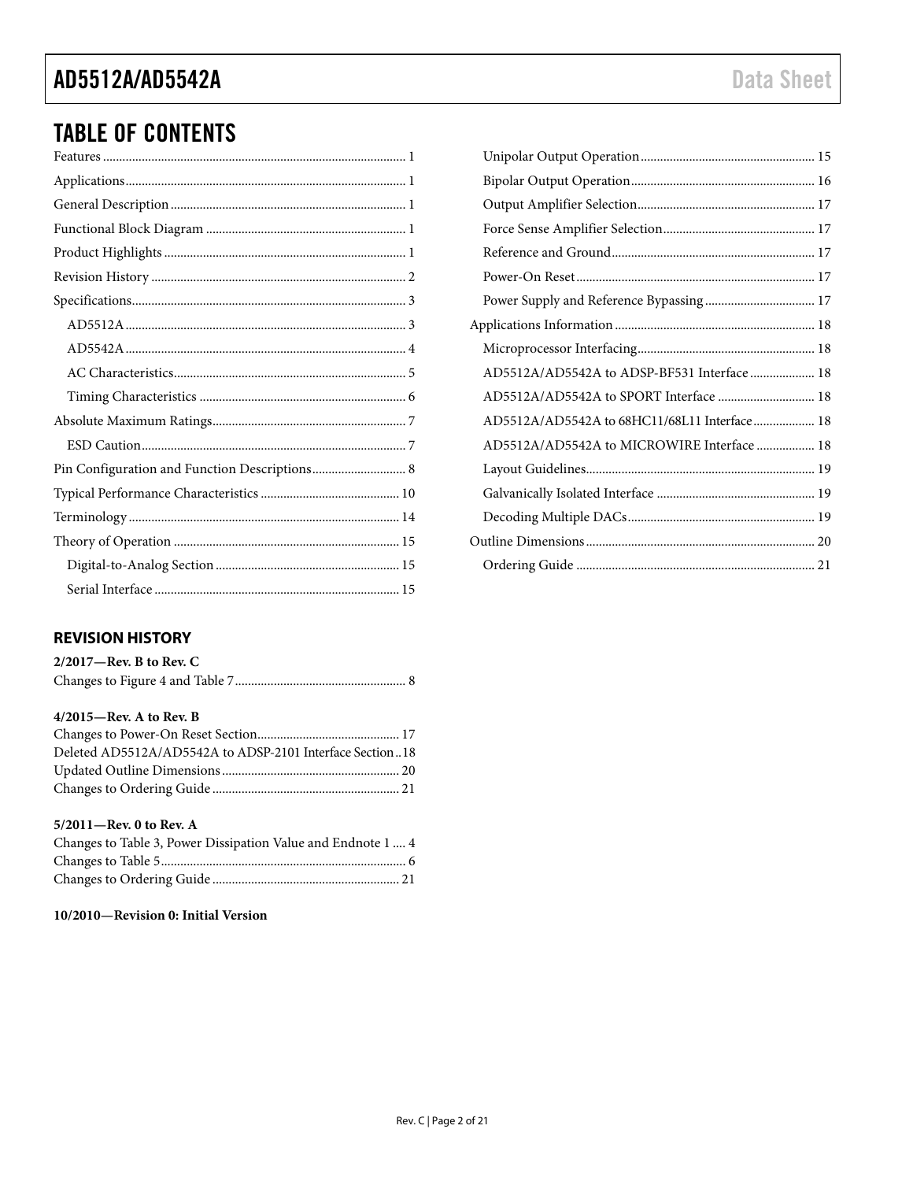## TABLE OF CONTENTS

### <span id="page-1-0"></span>**REVISION HISTORY**

| $2/2017$ —Rev. B to Rev. C |  |
|----------------------------|--|
|                            |  |

#### **4/2015—Rev. A to Rev. B**

| Deleted AD5512A/AD5542A to ADSP-2101 Interface Section18 |  |
|----------------------------------------------------------|--|
|                                                          |  |
|                                                          |  |

#### **5/2011—Rev. 0 to Rev. A**

| Changes to Table 3, Power Dissipation Value and Endnote 1  4 |  |
|--------------------------------------------------------------|--|
|                                                              |  |
|                                                              |  |

#### **10/2010—Revision 0: Initial Version**

| Power Supply and Reference Bypassing 17      |  |
|----------------------------------------------|--|
|                                              |  |
|                                              |  |
| AD5512A/AD5542A to ADSP-BF531 Interface  18  |  |
| AD5512A/AD5542A to SPORT Interface  18       |  |
| AD5512A/AD5542A to 68HC11/68L11 Interface 18 |  |
| AD5512A/AD5542A to MICROWIRE Interface  18   |  |
|                                              |  |
|                                              |  |
|                                              |  |
|                                              |  |
|                                              |  |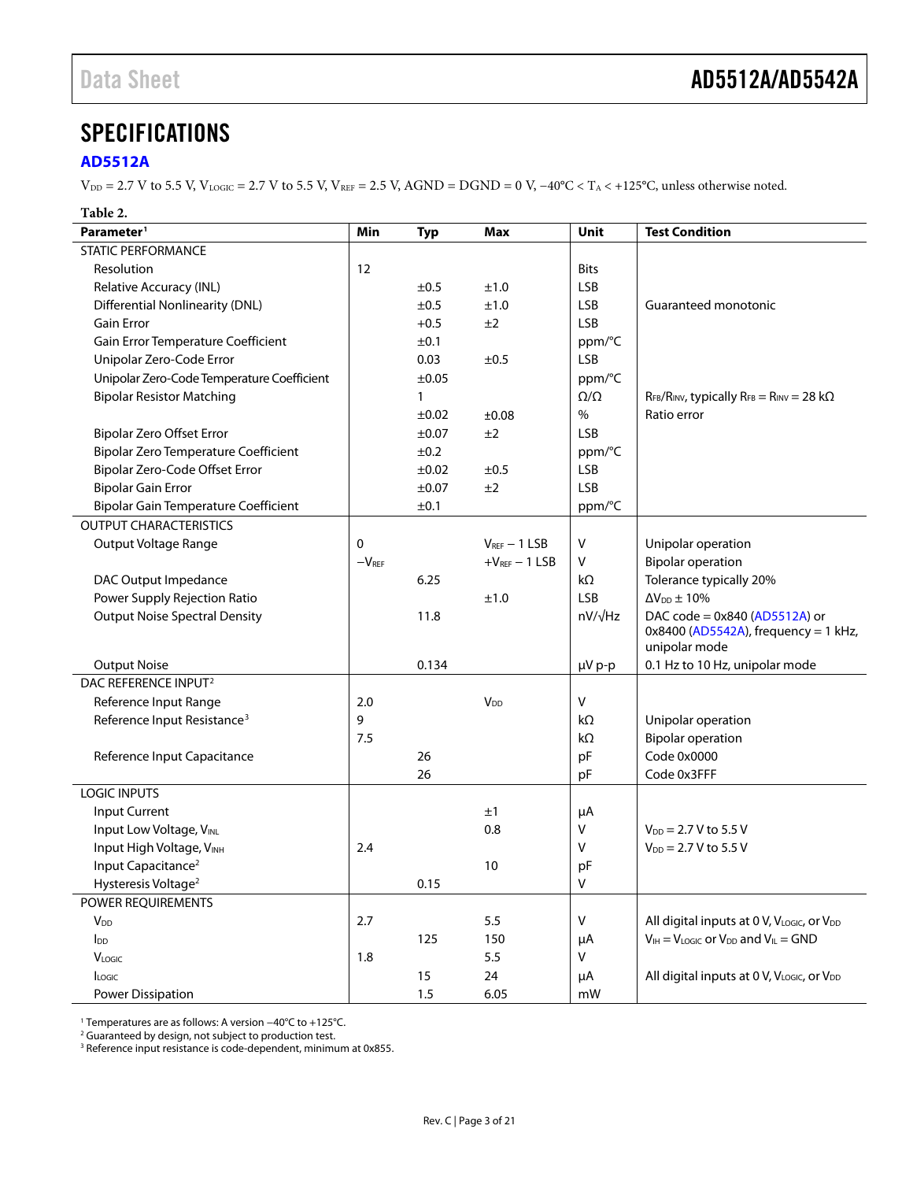### <span id="page-2-0"></span>**SPECIFICATIONS**

#### <span id="page-2-1"></span>**[AD5512A](http://www.analog.com/AD5512A?doc=AD5512A_5542A.pdf)**

 $V_{DD}$  = 2.7 V to 5.5 V,  $V_{LOGIC}$  = 2.7 V to 5.5 V,  $V_{REF}$  = 2.5 V, AGND = DGND = 0 V, −40°C < T<sub>A</sub> < +125°C, unless otherwise noted.

#### **Table 2.**

| Parameter <sup>1</sup>                      | Min          | <b>Typ</b>   | <b>Max</b>            | Unit            | <b>Test Condition</b>                                        |
|---------------------------------------------|--------------|--------------|-----------------------|-----------------|--------------------------------------------------------------|
| <b>STATIC PERFORMANCE</b>                   |              |              |                       |                 |                                                              |
| Resolution                                  | 12           |              |                       | <b>Bits</b>     |                                                              |
| Relative Accuracy (INL)                     |              | ±0.5         | ±1.0                  | <b>LSB</b>      |                                                              |
| <b>Differential Nonlinearity (DNL)</b>      |              | ±0.5         | ±1.0                  | <b>LSB</b>      | Guaranteed monotonic                                         |
| <b>Gain Error</b>                           |              | $+0.5$       | ±2                    | <b>LSB</b>      |                                                              |
| Gain Error Temperature Coefficient          |              | ±0.1         |                       | ppm/°C          |                                                              |
| Unipolar Zero-Code Error                    |              | 0.03         | ±0.5                  | LSB             |                                                              |
| Unipolar Zero-Code Temperature Coefficient  |              | $\pm 0.05$   |                       | ppm/°C          |                                                              |
| <b>Bipolar Resistor Matching</b>            |              | $\mathbf{1}$ |                       | $\Omega/\Omega$ | $R_{FB}/R_{INV}$ , typically $R_{FB} = R_{INV} = 28 k\Omega$ |
|                                             |              | $\pm 0.02$   | ±0.08                 | $\%$            | Ratio error                                                  |
| <b>Bipolar Zero Offset Error</b>            |              | ±0.07        | ±2                    | <b>LSB</b>      |                                                              |
| <b>Bipolar Zero Temperature Coefficient</b> |              | ±0.2         |                       | ppm/°C          |                                                              |
| Bipolar Zero-Code Offset Error              |              | ±0.02        | ±0.5                  | LSB             |                                                              |
| <b>Bipolar Gain Error</b>                   |              | $\pm 0.07$   | ±2                    | <b>LSB</b>      |                                                              |
| <b>Bipolar Gain Temperature Coefficient</b> |              | ±0.1         |                       | ppm/°C          |                                                              |
| <b>OUTPUT CHARACTERISTICS</b>               |              |              |                       |                 |                                                              |
| Output Voltage Range                        | $\mathbf{0}$ |              | $V_{REF}$ - 1 LSB     | $\sf V$         | Unipolar operation                                           |
|                                             | $-VREF$      |              | $+VREF - 1$ LSB       | V               | <b>Bipolar operation</b>                                     |
| DAC Output Impedance                        |              | 6.25         |                       | kΩ              | Tolerance typically 20%                                      |
| Power Supply Rejection Ratio                |              |              | ±1.0                  | <b>LSB</b>      | $\Delta V_{DD} \pm 10\%$                                     |
| <b>Output Noise Spectral Density</b>        |              | 11.8         |                       | $nV/\sqrt{Hz}$  | DAC code = 0x840 (AD5512A) or                                |
|                                             |              |              |                       |                 | $0x8400$ (AD5542A), frequency = 1 kHz,<br>unipolar mode      |
| <b>Output Noise</b>                         |              | 0.134        |                       | µV p-p          | 0.1 Hz to 10 Hz, unipolar mode                               |
| DAC REFERENCE INPUT <sup>2</sup>            |              |              |                       |                 |                                                              |
| Reference Input Range                       | 2.0          |              | <b>V<sub>DD</sub></b> | V               |                                                              |
| Reference Input Resistance <sup>3</sup>     | 9            |              |                       | kΩ              | Unipolar operation                                           |
|                                             | 7.5          |              |                       | kΩ              | <b>Bipolar operation</b>                                     |
| Reference Input Capacitance                 |              | 26           |                       | pF              | Code 0x0000                                                  |
|                                             |              | 26           |                       | pF              | Code 0x3FFF                                                  |
| <b>LOGIC INPUTS</b>                         |              |              |                       |                 |                                                              |
| Input Current                               |              |              | ±1                    | μA              |                                                              |
| Input Low Voltage, VINL                     |              |              | 0.8                   | ٧               | $V_{DD} = 2.7 V$ to 5.5 V                                    |
| Input High Voltage, VINH                    | 2.4          |              |                       | V               | $V_{DD} = 2.7 V$ to 5.5 V                                    |
| Input Capacitance <sup>2</sup>              |              |              | 10                    | pF              |                                                              |
| Hysteresis Voltage <sup>2</sup>             |              | 0.15         |                       | V               |                                                              |
| POWER REQUIREMENTS                          |              |              |                       |                 |                                                              |
| <b>V</b> <sub>DD</sub>                      | 2.7          |              | 5.5                   | V               | All digital inputs at 0 V, VLOGIC, or VDD                    |
| $I_{DD}$                                    |              | 125          | 150                   | μA              | $V_{IH} = V_{LOGIC}$ or $V_{DD}$ and $V_{IL} = GND$          |
| <b>VLOGIC</b>                               | 1.8          |              | 5.5                   | V               |                                                              |
| <b>ILOGIC</b>                               |              | 15           | 24                    | μA              | All digital inputs at 0 V, VLOGIC, or VDD                    |
| <b>Power Dissipation</b>                    |              | 1.5          | 6.05                  | mW              |                                                              |

<sup>1</sup> Temperatures are as follows: A version −40°C to +125°C.

<sup>2</sup> Guaranteed by design, not subject to production test.

<sup>3</sup> Reference input resistance is code-dependent, minimum at 0x855.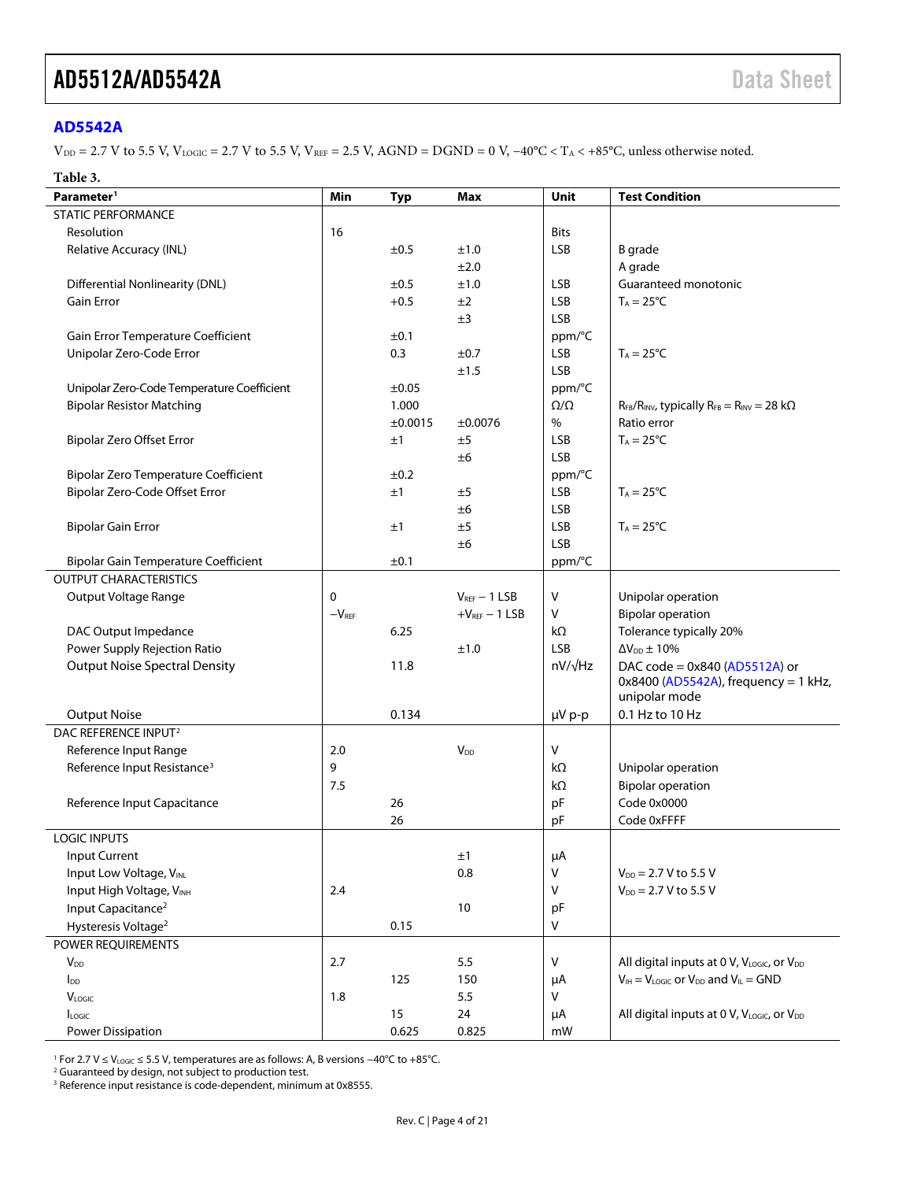#### <span id="page-3-0"></span>**[AD5542A](http://www.analog.com/AD5542A?doc=AD5512A_5542A.pdf)**

 $V_{DD} = 2.7$  V to 5.5 V,  $V_{LOGIC} = 2.7$  V to 5.5 V,  $V_{REF} = 2.5$  V,  $AGND = DGND = 0$  V,  $-40^{\circ}C < T_A < +85^{\circ}C$ , unless otherwise noted.

#### **Table 3.**

| Parameter <sup>1</sup>                      | Min     | <b>Typ</b> | Max               | Unit            | <b>Test Condition</b>                                        |
|---------------------------------------------|---------|------------|-------------------|-----------------|--------------------------------------------------------------|
| <b>STATIC PERFORMANCE</b>                   |         |            |                   |                 |                                                              |
| Resolution                                  | 16      |            |                   | <b>Bits</b>     |                                                              |
| Relative Accuracy (INL)                     |         | ±0.5       | ±1.0              | <b>LSB</b>      | <b>B</b> grade                                               |
|                                             |         |            | ±2.0              |                 | A grade                                                      |
| <b>Differential Nonlinearity (DNL)</b>      |         | ±0.5       | ±1.0              | <b>LSB</b>      | Guaranteed monotonic                                         |
| <b>Gain Error</b>                           |         | $+0.5$     | ±2                | <b>LSB</b>      | $T_A = 25^{\circ}C$                                          |
|                                             |         |            | ±3                | <b>LSB</b>      |                                                              |
| Gain Error Temperature Coefficient          |         | ±0.1       |                   | ppm/°C          |                                                              |
| Unipolar Zero-Code Error                    |         | 0.3        | ±0.7              | <b>LSB</b>      | $T_A = 25^{\circ}C$                                          |
|                                             |         |            | ±1.5              | <b>LSB</b>      |                                                              |
| Unipolar Zero-Code Temperature Coefficient  |         | ±0.05      |                   | ppm/°C          |                                                              |
| <b>Bipolar Resistor Matching</b>            |         | 1.000      |                   | $\Omega/\Omega$ | $R_{FB}/R_{INV}$ , typically $R_{FB} = R_{INV} = 28 k\Omega$ |
|                                             |         | ±0.0015    | ±0.0076           | $\%$            | Ratio error                                                  |
| <b>Bipolar Zero Offset Error</b>            |         | ±1         | ±5                | <b>LSB</b>      | $T_A = 25^{\circ}C$                                          |
|                                             |         |            | ±6                | <b>LSB</b>      |                                                              |
| <b>Bipolar Zero Temperature Coefficient</b> |         | ±0.2       |                   | ppm/°C          |                                                              |
| Bipolar Zero-Code Offset Error              |         | ±1         | ±5                | <b>LSB</b>      | $T_A = 25^{\circ}C$                                          |
|                                             |         |            | ±6                | <b>LSB</b>      |                                                              |
| <b>Bipolar Gain Error</b>                   |         | ±1         | ±5                | <b>LSB</b>      | $T_A = 25^{\circ}C$                                          |
|                                             |         |            | ±6                | <b>LSB</b>      |                                                              |
| <b>Bipolar Gain Temperature Coefficient</b> |         | $\pm 0.1$  |                   | ppm/°C          |                                                              |
| <b>OUTPUT CHARACTERISTICS</b>               |         |            |                   |                 |                                                              |
| Output Voltage Range                        | 0       |            | $V_{REF}$ - 1 LSB | $\vee$          | Unipolar operation                                           |
|                                             | $-VREF$ |            | $+VREF - 1$ LSB   | V               | <b>Bipolar operation</b>                                     |
| DAC Output Impedance                        |         | 6.25       |                   | kΩ              | Tolerance typically 20%                                      |
| Power Supply Rejection Ratio                |         |            | ±1.0              | <b>LSB</b>      | $\Delta V_{DD} \pm 10\%$                                     |
| <b>Output Noise Spectral Density</b>        |         | 11.8       |                   | $nV/\sqrt{Hz}$  | DAC code = 0x840 (AD5512A) or                                |
|                                             |         |            |                   |                 | $0x8400$ (AD5542A), frequency = 1 kHz,                       |
|                                             |         |            |                   |                 | unipolar mode                                                |
| <b>Output Noise</b>                         |         | 0.134      |                   | µV p-p          | 0.1 Hz to 10 Hz                                              |
| DAC REFERENCE INPUT <sup>2</sup>            |         |            |                   |                 |                                                              |
| Reference Input Range                       | 2.0     |            | $V_{DD}$          | $\vee$          |                                                              |
| Reference Input Resistance <sup>3</sup>     | 9       |            |                   | kΩ              | Unipolar operation                                           |
|                                             | 7.5     |            |                   | $k\Omega$       | <b>Bipolar operation</b>                                     |
| Reference Input Capacitance                 |         | 26         |                   | pF              | Code 0x0000                                                  |
|                                             |         | 26         |                   | pF              | Code 0xFFFF                                                  |
| <b>LOGIC INPUTS</b>                         |         |            |                   |                 |                                                              |
| Input Current                               |         |            | ±1                | μA              |                                                              |
| Input Low Voltage, VINL                     |         |            | 0.8               | $\sf V$         | $V_{DD} = 2.7 V$ to 5.5 V                                    |
| Input High Voltage, VINH                    | 2.4     |            |                   | $\vee$          | $V_{DD} = 2.7 V$ to 5.5 V                                    |
| Input Capacitance <sup>2</sup>              |         |            | 10                | pF              |                                                              |
| Hysteresis Voltage <sup>2</sup>             |         | 0.15       |                   | ${\sf V}$       |                                                              |
| POWER REQUIREMENTS                          |         |            |                   |                 |                                                              |
| <b>V</b> <sub>DD</sub>                      | 2.7     |            | 5.5               | V               | All digital inputs at 0 V, VLOGIC, Or VDD                    |
| $I_{DD}$                                    |         | 125        | 150               | μA              | $V_{IH} = V_{LOGIC}$ or $V_{DD}$ and $V_{IL} = GND$          |
| <b>VLOGIC</b>                               | 1.8     |            | 5.5               | V               |                                                              |
| Logic                                       |         | 15         | 24                | μA              | All digital inputs at 0 V, VLOGIC, or VDD                    |
| Power Dissipation                           |         | 0.625      | 0.825             | mW              |                                                              |

<sup>1</sup> For 2.7 V ≤ VLOGIC ≤ 5.5 V, temperatures are as follows: A, B versions −40°C to +85°C.

<sup>2</sup> Guaranteed by design, not subject to production test.

<sup>3</sup> Reference input resistance is code-dependent, minimum at 0x8555.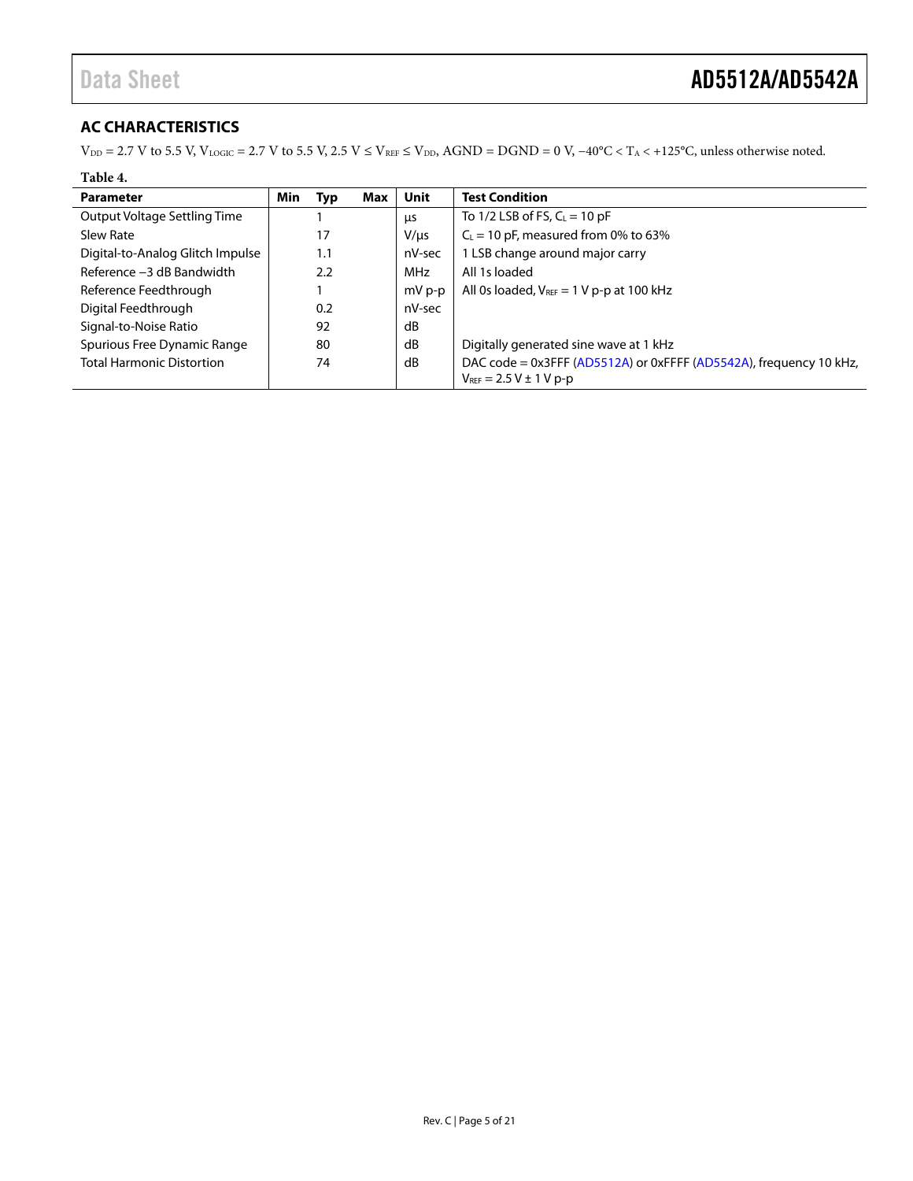### <span id="page-4-0"></span>**AC CHARACTERISTICS**

 $V_{DD} = 2.7$  V to 5.5 V,  $V_{LOGIC} = 2.7$  V to 5.5 V, 2.5 V  $\leq$  V<sub>REF</sub>  $\leq$  V<sub>DD</sub>, AGND = DGND = 0 V, -40°C < T<sub>A</sub> < +125°C, unless otherwise noted.

#### **Table 4.**

| <b>Parameter</b>                 | Min | Typ | Max | Unit       | <b>Test Condition</b>                                                                               |
|----------------------------------|-----|-----|-----|------------|-----------------------------------------------------------------------------------------------------|
| Output Voltage Settling Time     |     |     |     | μs         | To $1/2$ LSB of FS, $C_L = 10$ pF                                                                   |
| Slew Rate                        |     | 17  |     | $V/\mu s$  | $C_1$ = 10 pF, measured from 0% to 63%                                                              |
| Digital-to-Analog Glitch Impulse |     | 1.1 |     | nV-sec     | 1 LSB change around major carry                                                                     |
| Reference -3 dB Bandwidth        |     | 2.2 |     | <b>MHz</b> | All 1s loaded                                                                                       |
| Reference Feedthrough            |     |     |     | mV p-p     | All 0s loaded, $V_{REF} = 1 V p-p$ at 100 kHz                                                       |
| Digital Feedthrough              |     | 0.2 |     | nV-sec     |                                                                                                     |
| Signal-to-Noise Ratio            |     | 92  |     | dB         |                                                                                                     |
| Spurious Free Dynamic Range      |     | 80  |     | dB         | Digitally generated sine wave at 1 kHz                                                              |
| <b>Total Harmonic Distortion</b> |     | 74  |     | dB         | DAC code = 0x3FFF (AD5512A) or 0xFFFF (AD5542A), frequency 10 kHz,<br>$V_{REF} = 2.5 V \pm 1 V p-p$ |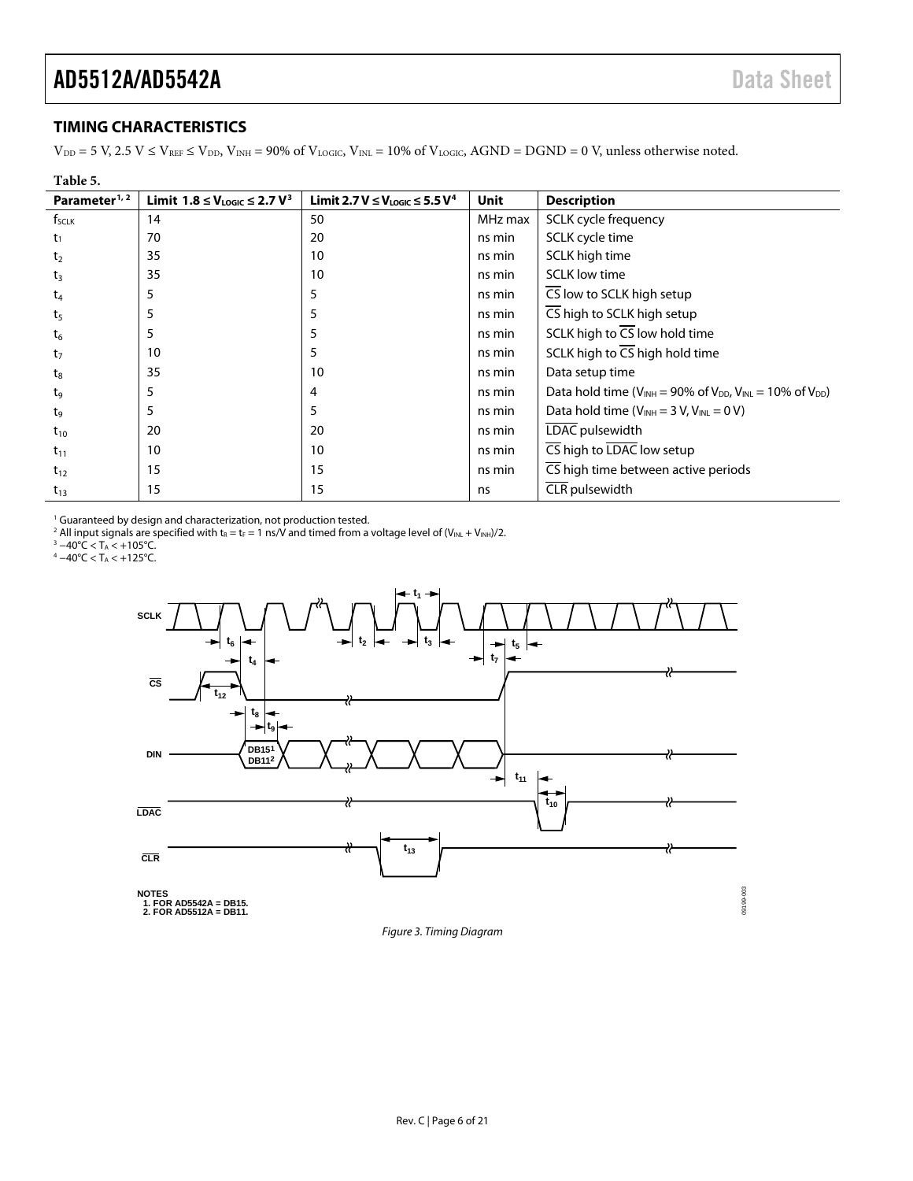09199-003

#### <span id="page-5-0"></span>**TIMING CHARACTERISTICS**

 $V_{DD} = 5$  V,  $2.5$  V  $\le$  V<sub>REF</sub>  $\le$  V<sub>DD</sub>, V<sub>INH</sub> = 90% of V<sub>LOGIC</sub>, V<sub>INL</sub> = 10% of V<sub>LOGIC</sub>, AGND = DGND = 0 V, unless otherwise noted.

| Table 5.                  |                                                     |                                                       |         |                                                                              |
|---------------------------|-----------------------------------------------------|-------------------------------------------------------|---------|------------------------------------------------------------------------------|
| Parameter <sup>1, 2</sup> | Limit 1.8 ≤ V <sub>Logic</sub> ≤ 2.7 V <sup>3</sup> | Limit 2.7 V ≤ V <sub>LOGIC</sub> ≤ 5.5 V <sup>4</sup> | Unit    | <b>Description</b>                                                           |
| f <sub>sclk</sub>         | 14                                                  | 50                                                    | MHz max | SCLK cycle frequency                                                         |
| $t_1$                     | 70                                                  | 20                                                    | ns min  | SCLK cycle time                                                              |
| t <sub>2</sub>            | 35                                                  | 10                                                    | ns min  | SCLK high time                                                               |
| $t_3$                     | 35                                                  | 10                                                    | ns min  | <b>SCLK low time</b>                                                         |
| $t_4$                     | 5                                                   |                                                       | ns min  | CS low to SCLK high setup                                                    |
| t <sub>5</sub>            | 5                                                   |                                                       | ns min  | $\overline{\mathsf{CS}}$ high to SCLK high setup                             |
| $t_6$                     | 5                                                   | 5                                                     | ns min  | SCLK high to $\overline{CS}$ low hold time                                   |
| $t_7$                     | 10                                                  | 5                                                     | ns min  | SCLK high to $\overline{CS}$ high hold time                                  |
| $t_8$                     | 35                                                  | 10                                                    | ns min  | Data setup time                                                              |
| tg                        | 5                                                   | 4                                                     | ns min  | Data hold time ( $V_{INH}$ = 90% of $V_{DD}$ , $V_{INL}$ = 10% of $V_{DD}$ ) |
| t <sub>9</sub>            | 5                                                   | 5                                                     | ns min  | Data hold time $(V_{INH} = 3 V, V_{INL} = 0 V)$                              |
| $t_{10}$                  | 20                                                  | 20                                                    | ns min  | LDAC pulsewidth                                                              |
| $t_{11}$                  | 10                                                  | 10                                                    | ns min  | CS high to LDAC low setup                                                    |
| $t_{12}$                  | 15                                                  | 15                                                    | ns min  | CS high time between active periods                                          |
| $t_{13}$                  | 15                                                  | 15                                                    | ns      | CLR pulsewidth                                                               |

<sup>1</sup> Guaranteed by design and characterization, not production tested.

 $^2$  All input signals are specified with t $_{\rm R}$  = t $_{\rm F}$  = 1 ns/V and timed from a voltage level of (V $_{\rm INL}$  + V $_{\rm INH})/2.$ 

<sup>3</sup> −40°C < T<sub>A</sub> < +105°C. <sup>4</sup> −40°C < TA < +125°C.



<span id="page-5-1"></span>*Figure 3. Timing Diagram*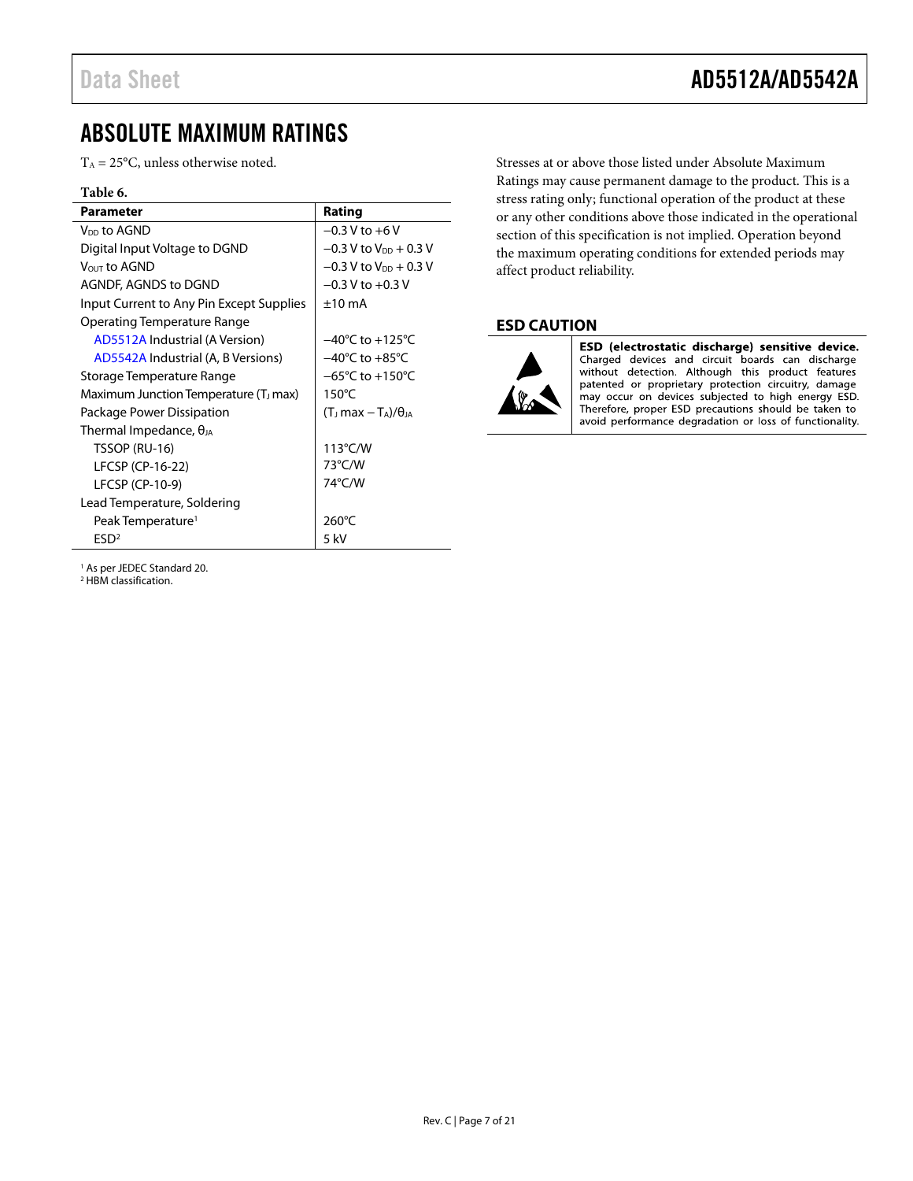### <span id="page-6-0"></span>ABSOLUTE MAXIMUM RATINGS

 $T_A = 25$ °C, unless otherwise noted.

#### **Table 6.**

| <b>Parameter</b>                                  | Rating                               |
|---------------------------------------------------|--------------------------------------|
| V <sub>DD</sub> to AGND                           | $-0.3$ V to $+6$ V                   |
| Digital Input Voltage to DGND                     | $-0.3$ V to V <sub>DD</sub> + 0.3 V  |
| VOUT to AGND                                      | $-0.3$ V to $V_{DD}$ + 0.3 V         |
| AGNDF, AGNDS to DGND                              | $-0.3$ V to $+0.3$ V                 |
| Input Current to Any Pin Except Supplies          | $±10$ mA                             |
| Operating Temperature Range                       |                                      |
| AD5512A Industrial (A Version)                    | $-40^{\circ}$ C to $+125^{\circ}$ C  |
| AD5542A Industrial (A, B Versions)                | $-40^{\circ}$ C to $+85^{\circ}$ C   |
| Storage Temperature Range                         | $-65^{\circ}$ C to +150 $^{\circ}$ C |
| Maximum Junction Temperature (T <sub>J</sub> max) | $150^{\circ}$ C                      |
| Package Power Dissipation                         | $(T1 max - TA)/\thetaIA$             |
| Thermal Impedance, $\theta_{JA}$                  |                                      |
| TSSOP (RU-16)                                     | 113°C/W                              |
| LFCSP (CP-16-22)                                  | 73°C/W                               |
| LFCSP (CP-10-9)                                   | 74°C/W                               |
| Lead Temperature, Soldering                       |                                      |
| Peak Temperature <sup>1</sup>                     | 260°C                                |
| ESD <sup>2</sup>                                  | $5$ kV                               |

Stresses at or above those listed under Absolute Maximum Ratings may cause permanent damage to the product. This is a stress rating only; functional operation of the product at these or any other conditions above those indicated in the operational section of this specification is not implied. Operation beyond the maximum operating conditions for extended periods may affect product reliability.

#### <span id="page-6-1"></span>**ESD CAUTION**



ESD (electrostatic discharge) sensitive device. Charged devices and circuit boards can discharge without detection. Although this product features patented or proprietary protection circuitry, damage may occur on devices subjected to high energy ESD. Therefore, proper ESD precautions should be taken to avoid performance degradation or loss of functionality.

<sup>1</sup> As per JEDEC Standard 20.

<sup>2</sup> HBM classification.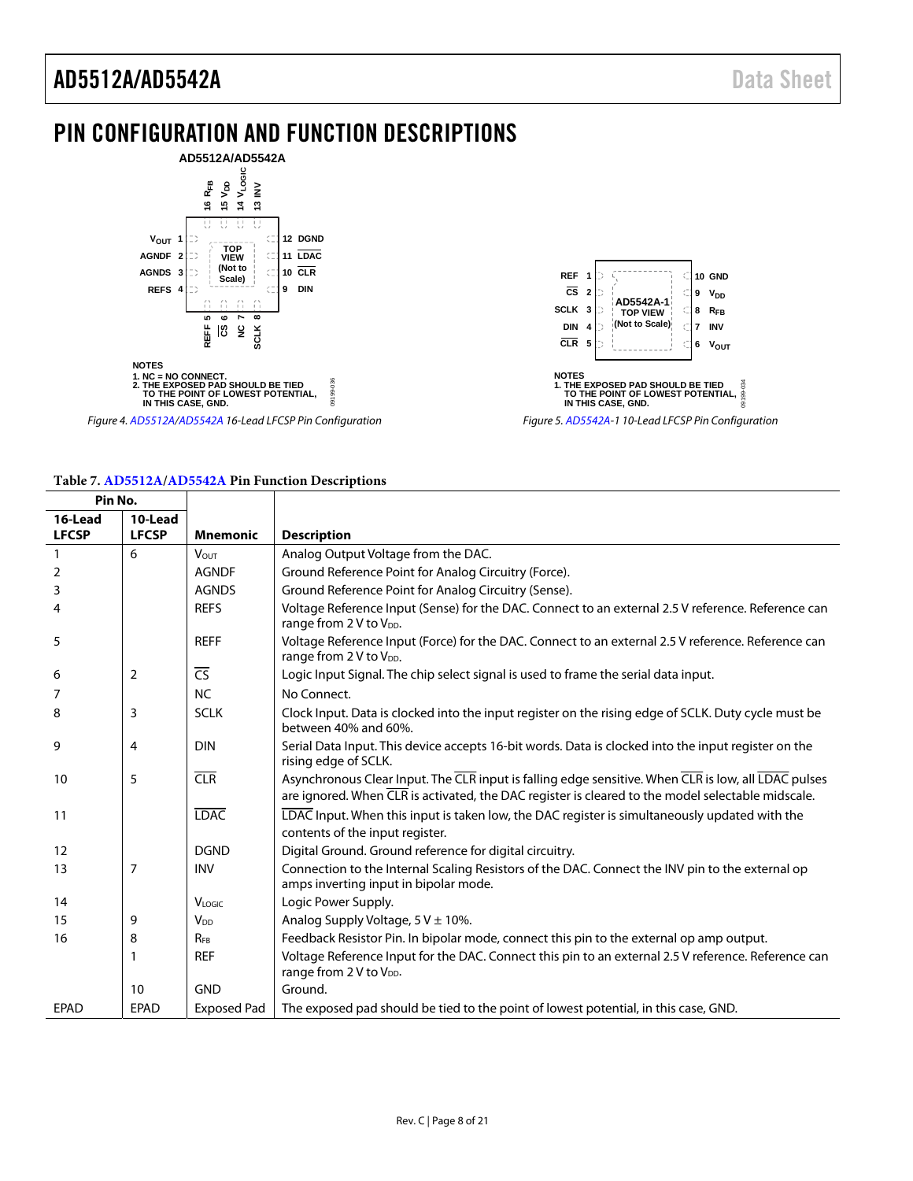### <span id="page-7-0"></span>PIN CONFIGURATION AND FUNCTION DESCRIPTIONS





Figure 5[. AD5542A-](http://www.analog.com/AD5542A?doc=AD5512A_5542A.pdf)1 10-Lead LFCSP Pin Configuration

#### **Table 7[. AD5512A/](http://www.analog.com/AD5512A?doc=AD5512A_5542A.pdf)[AD5542A](http://www.analog.com/AD5542A?doc=AD5512A_5542A.pdf) Pin Function Descriptions**

Figure 4[. AD5512A/](http://www.analog.com/AD5512A?doc=AD5512A_5542A.pdf)[AD5542A 1](http://www.analog.com/AD5542A?doc=AD5512A_5542A.pdf)6-Lead LFCSP Pin Configuration

| Pin No.                 |                         |                          |                                                                                                                                                                                                                       |
|-------------------------|-------------------------|--------------------------|-----------------------------------------------------------------------------------------------------------------------------------------------------------------------------------------------------------------------|
| 16-Lead<br><b>LFCSP</b> | 10-Lead<br><b>LFCSP</b> | <b>Mnemonic</b>          | <b>Description</b>                                                                                                                                                                                                    |
|                         | 6                       |                          |                                                                                                                                                                                                                       |
| $\mathbf{1}$            |                         | $V_{OUT}$                | Analog Output Voltage from the DAC.                                                                                                                                                                                   |
| 2                       |                         | <b>AGNDF</b>             | Ground Reference Point for Analog Circuitry (Force).                                                                                                                                                                  |
| 3                       |                         | <b>AGNDS</b>             | Ground Reference Point for Analog Circuitry (Sense).                                                                                                                                                                  |
| 4                       |                         | <b>REFS</b>              | Voltage Reference Input (Sense) for the DAC. Connect to an external 2.5 V reference. Reference can<br>range from 2 V to V <sub>DD</sub> .                                                                             |
| 5                       |                         | <b>REFF</b>              | Voltage Reference Input (Force) for the DAC. Connect to an external 2.5 V reference. Reference can<br>range from 2 V to V <sub>DD</sub> .                                                                             |
| 6                       | 2                       | $\overline{\mathsf{CS}}$ | Logic Input Signal. The chip select signal is used to frame the serial data input.                                                                                                                                    |
| 7                       |                         | <b>NC</b>                | No Connect.                                                                                                                                                                                                           |
| 8                       | 3                       | <b>SCLK</b>              | Clock Input. Data is clocked into the input register on the rising edge of SCLK. Duty cycle must be<br>between 40% and 60%.                                                                                           |
| 9                       | $\overline{4}$          | <b>DIN</b>               | Serial Data Input. This device accepts 16-bit words. Data is clocked into the input register on the<br>rising edge of SCLK.                                                                                           |
| 10                      | 5                       | CLR                      | Asynchronous Clear Input. The CLR input is falling edge sensitive. When CLR is low, all LDAC pulses<br>are ignored. When $\overline{CLR}$ is activated, the DAC register is cleared to the model selectable midscale. |
| 11                      |                         | <b>LDAC</b>              | LDAC Input. When this input is taken low, the DAC register is simultaneously updated with the<br>contents of the input register.                                                                                      |
| 12                      |                         | <b>DGND</b>              | Digital Ground. Ground reference for digital circuitry.                                                                                                                                                               |
| 13                      | 7                       | <b>INV</b>               | Connection to the Internal Scaling Resistors of the DAC. Connect the INV pin to the external op<br>amps inverting input in bipolar mode.                                                                              |
| 14                      |                         | VLOGIC                   | Logic Power Supply.                                                                                                                                                                                                   |
| 15                      | 9                       | V <sub>DD</sub>          | Analog Supply Voltage, $5 V \pm 10$ %.                                                                                                                                                                                |
| 16                      | 8                       | $R_{FB}$                 | Feedback Resistor Pin. In bipolar mode, connect this pin to the external op amp output.                                                                                                                               |
|                         | 1                       | <b>REF</b>               | Voltage Reference Input for the DAC. Connect this pin to an external 2.5 V reference. Reference can<br>range from 2 V to V <sub>DD</sub> .                                                                            |
|                         | 10                      | <b>GND</b>               | Ground.                                                                                                                                                                                                               |
| EPAD                    | <b>EPAD</b>             | <b>Exposed Pad</b>       | The exposed pad should be tied to the point of lowest potential, in this case, GND.                                                                                                                                   |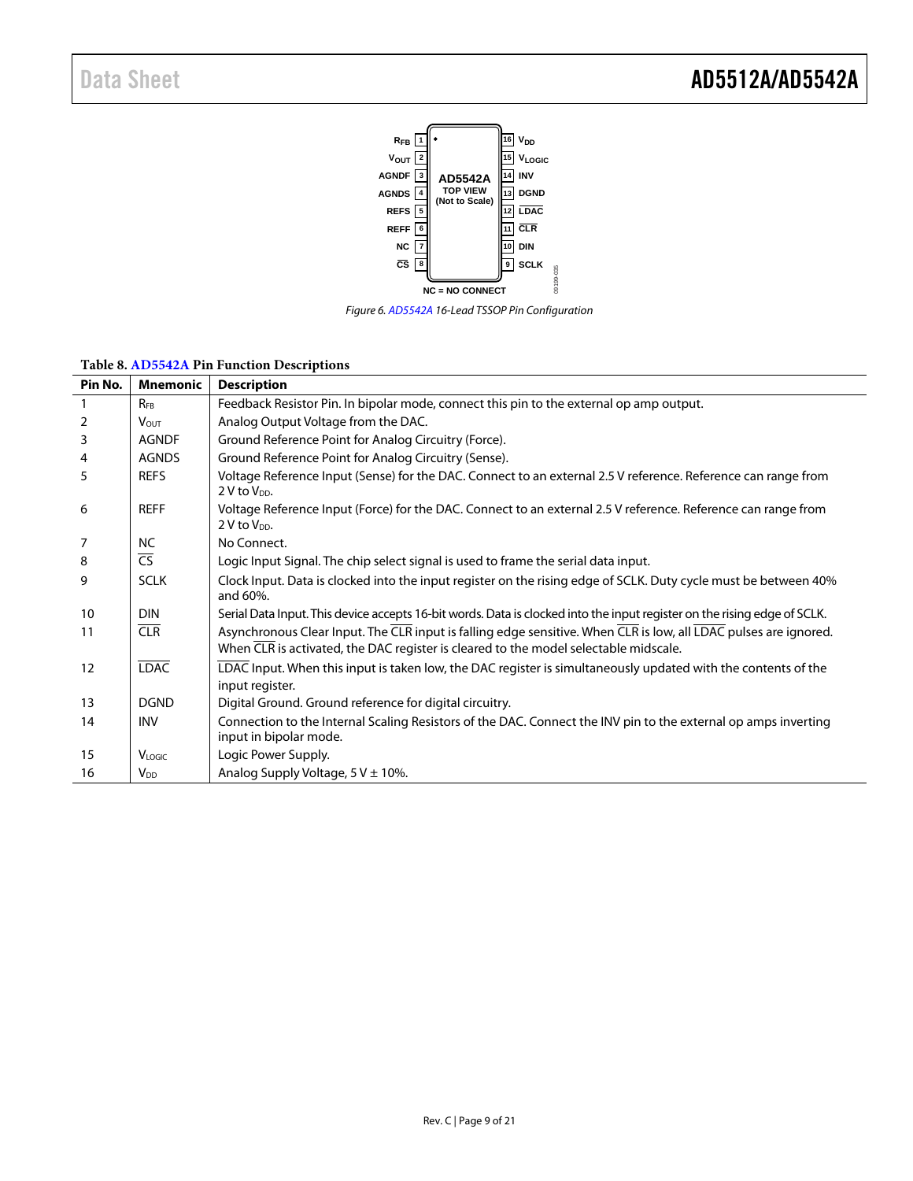

*Figure 6[. AD5542A](http://www.analog.com/AD5542A?doc=AD5512A_5542A.pdf) 16-Lead TSSOP Pin Configuration*

#### **Table 8. [AD5542A](http://www.analog.com/AD5542A?doc=AD5512A_5542A.pdf) Pin Function Descriptions**

| Pin No. | <b>Mnemonic</b>          | <b>Description</b>                                                                                                                                                                                       |
|---------|--------------------------|----------------------------------------------------------------------------------------------------------------------------------------------------------------------------------------------------------|
|         | <b>RFB</b>               | Feedback Resistor Pin. In bipolar mode, connect this pin to the external op amp output.                                                                                                                  |
| 2       | $V_{\text{OUT}}$         | Analog Output Voltage from the DAC.                                                                                                                                                                      |
| 3       | <b>AGNDF</b>             | Ground Reference Point for Analog Circuitry (Force).                                                                                                                                                     |
| 4       | <b>AGNDS</b>             | Ground Reference Point for Analog Circuitry (Sense).                                                                                                                                                     |
| 5       | <b>REFS</b>              | Voltage Reference Input (Sense) for the DAC. Connect to an external 2.5 V reference. Reference can range from<br>2 V to V <sub>DD</sub> .                                                                |
| 6       | <b>REFF</b>              | Voltage Reference Input (Force) for the DAC. Connect to an external 2.5 V reference. Reference can range from<br>2 V to V <sub>DD</sub> .                                                                |
| 7       | <b>NC</b>                | No Connect.                                                                                                                                                                                              |
| 8       | $\overline{\mathsf{CS}}$ | Logic Input Signal. The chip select signal is used to frame the serial data input.                                                                                                                       |
| 9       | <b>SCLK</b>              | Clock Input. Data is clocked into the input register on the rising edge of SCLK. Duty cycle must be between 40%<br>and 60%.                                                                              |
| 10      | <b>DIN</b>               | Serial Data Input. This device accepts 16-bit words. Data is clocked into the input register on the rising edge of SCLK.                                                                                 |
| 11      | <b>CLR</b>               | Asynchronous Clear Input. The CLR input is falling edge sensitive. When CLR is low, all LDAC pulses are ignored.<br>When CLR is activated, the DAC register is cleared to the model selectable midscale. |
| 12      | <b>LDAC</b>              | LDAC Input. When this input is taken low, the DAC register is simultaneously updated with the contents of the<br>input register.                                                                         |
| 13      | <b>DGND</b>              | Digital Ground. Ground reference for digital circuitry.                                                                                                                                                  |
| 14      | <b>INV</b>               | Connection to the Internal Scaling Resistors of the DAC. Connect the INV pin to the external op amps inverting<br>input in bipolar mode.                                                                 |
| 15      | VLOGIC                   | Logic Power Supply.                                                                                                                                                                                      |
| 16      | <b>V</b> <sub>DD</sub>   | Analog Supply Voltage, $5 \text{ V} \pm 10\%$ .                                                                                                                                                          |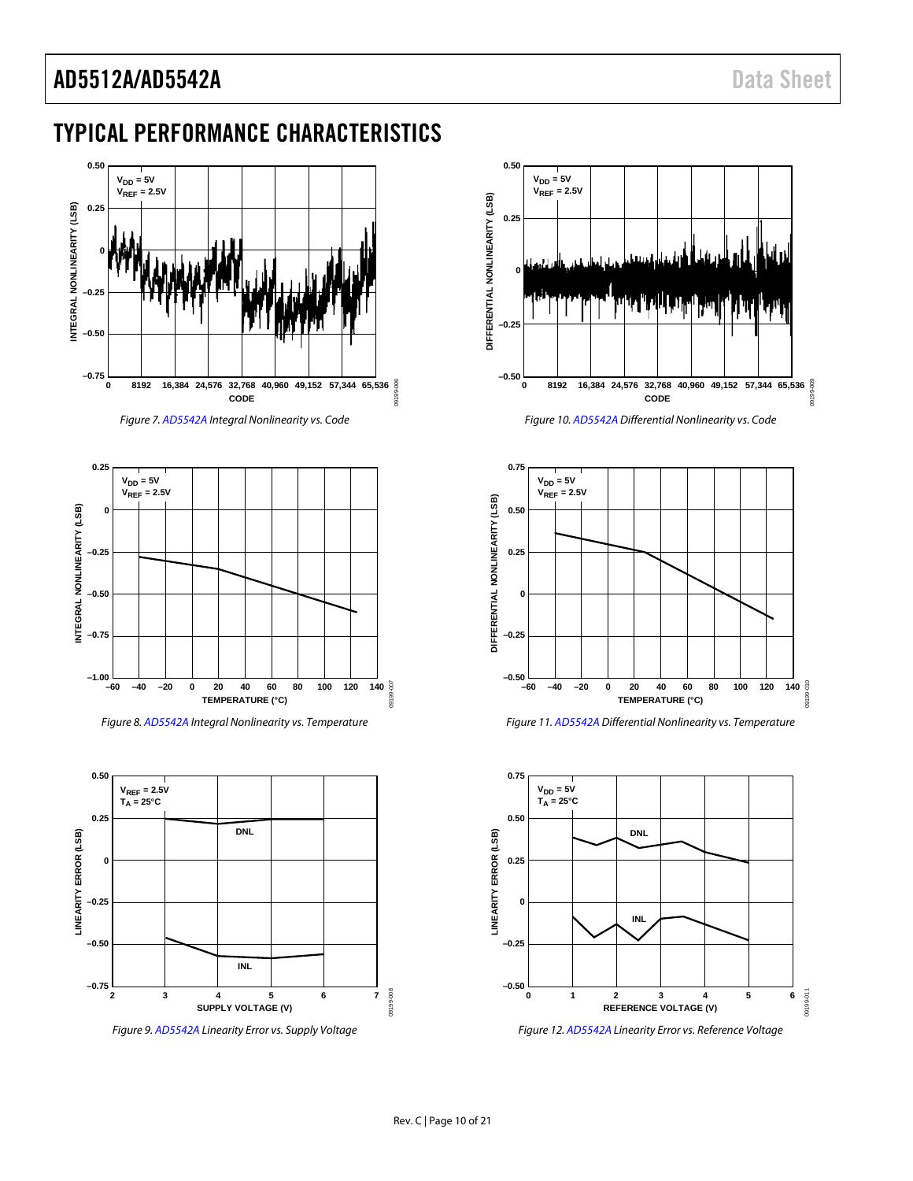### <span id="page-9-0"></span>TYPICAL PERFORMANCE CHARACTERISTICS





<span id="page-9-1"></span>

*Figure 8. [AD5542A](http://www.analog.com/AD5542A?doc=AD5512A_5542A.pdf) Integral Nonlinearity vs. Temperature*



*Figure 9. [AD5542A](http://www.analog.com/AD5542A?doc=AD5512A_5542A.pdf) Linearity Error vs. Supply Voltage*



*Figure 10[. AD5542A](http://www.analog.com/AD5542A?doc=AD5512A_5542A.pdf) Differential Nonlinearity vs. Code*

<span id="page-9-2"></span>

*Figure 11[. AD5542A](http://www.analog.com/AD5542A?doc=AD5512A_5542A.pdf) Differential Nonlinearity vs. Temperature*





09199-008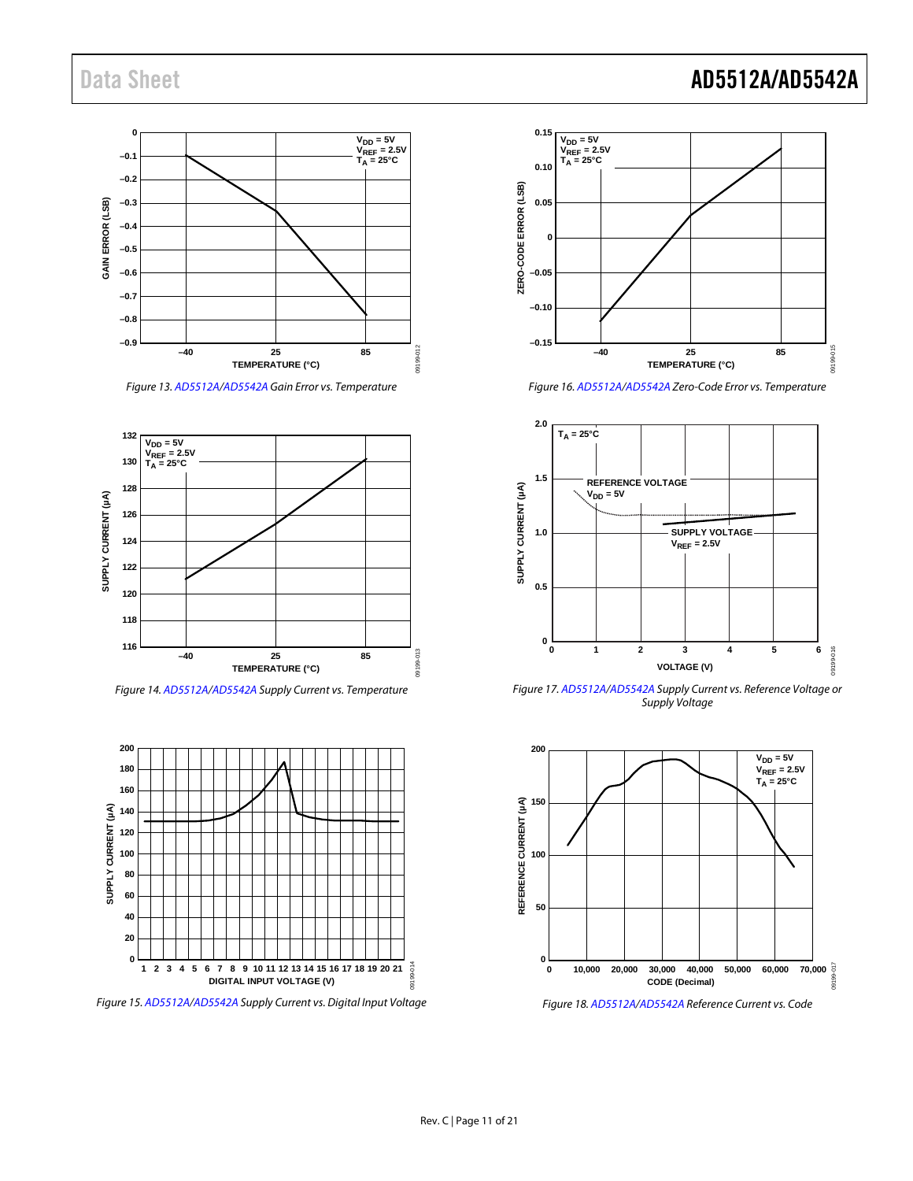#### **0 VDD = 5V VREF = 2.5V TA = 25°C**  $-0.1$ **–0.2** GAIN ERROR (LSB) **GAIN ERROR (LSB) –0.3 –0.4 –0.5 –0.6 –0.7 –0.8 –0.9** 09199-012 09199-012 **–40 25 85 TEMPERATURE (°C)**

*Figure 13[. AD5512A/](http://www.analog.com/AD5512A?doc=AD5512A_5542A.pdf)[AD5542A](http://www.analog.com/AD5542A?doc=AD5512A_5542A.pdf) Gain Error vs. Temperature*



*Figure 14[. AD5512A](http://www.analog.com/AD5512A?doc=AD5512A_5542A.pdf)[/AD5542A](http://www.analog.com/AD5542A?doc=AD5512A_5542A.pdf) Supply Current vs. Temperature*



*Figure 15[. AD5512A/](http://www.analog.com/AD5512A?doc=AD5512A_5542A.pdf)[AD5542A](http://www.analog.com/AD5542A?doc=AD5512A_5542A.pdf) Supply Current vs. Digital Input Voltage*



*Figure 16[. AD5512A/](http://www.analog.com/AD5512A?doc=AD5512A_5542A.pdf)[AD5542A](http://www.analog.com/AD5542A?doc=AD5512A_5542A.pdf) Zero-Code Error vs. Temperature*



*Figure 17[. AD5512A](http://www.analog.com/AD5512A?doc=AD5512A_5542A.pdf)[/AD5542A](http://www.analog.com/AD5542A?doc=AD5512A_5542A.pdf) Supply Current vs. Reference Voltage or Supply Voltage*



*Figure 18[. AD5512A/](http://www.analog.com/AD5512A?doc=AD5512A_5542A.pdf)[AD5542A](http://www.analog.com/AD5542A?doc=AD5512A_5542A.pdf) Reference Current vs. Code*

### Data Sheet **AD5512A/AD5542A**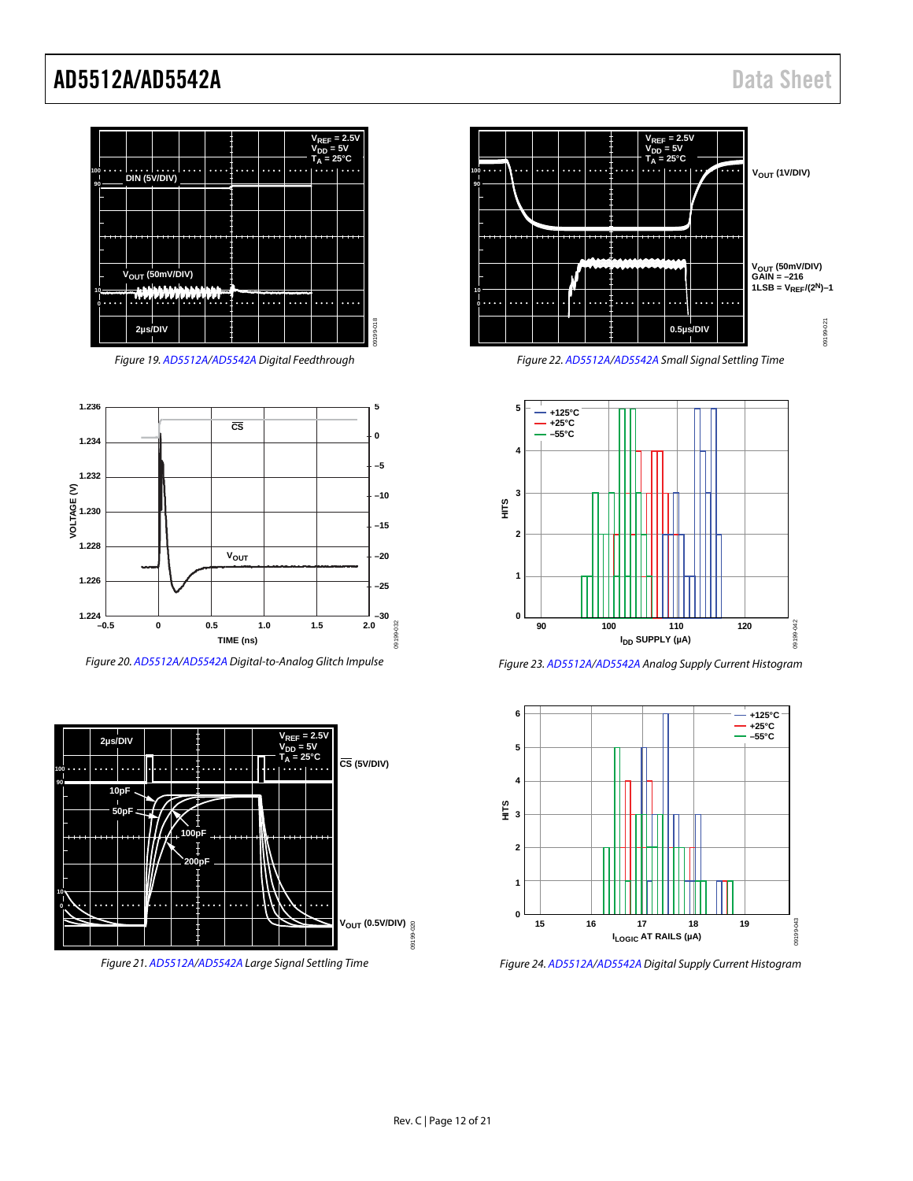

*Figure 19[. AD5512A/](http://www.analog.com/AD5512A?doc=AD5512A_5542A.pdf)[AD5542A](http://www.analog.com/AD5542A?doc=AD5512A_5542A.pdf) Digital Feedthrough*

<span id="page-11-1"></span>

<span id="page-11-0"></span>*Figure 20[. AD5512A/](http://www.analog.com/AD5512A?doc=AD5512A_5542A.pdf)[AD5542A](http://www.analog.com/AD5542A?doc=AD5512A_5542A.pdf) Digital-to-Analog Glitch Impulse*







*Figure 22[. AD5512A/](http://www.analog.com/AD5512A?doc=AD5512A_5542A.pdf)[AD5542A](http://www.analog.com/AD5542A?doc=AD5512A_5542A.pdf) Small Signal Settling Time*



*Figure 23[. AD5512A](http://www.analog.com/AD5512A?doc=AD5512A_5542A.pdf)[/AD5542A](http://www.analog.com/AD5542A?doc=AD5512A_5542A.pdf) Analog Supply Current Histogram*



*Figure 24[. AD5512A](http://www.analog.com/AD5512A?doc=AD5512A_5542A.pdf)[/AD5542A](http://www.analog.com/AD5542A?doc=AD5512A_5542A.pdf) Digital Supply Current Histogram*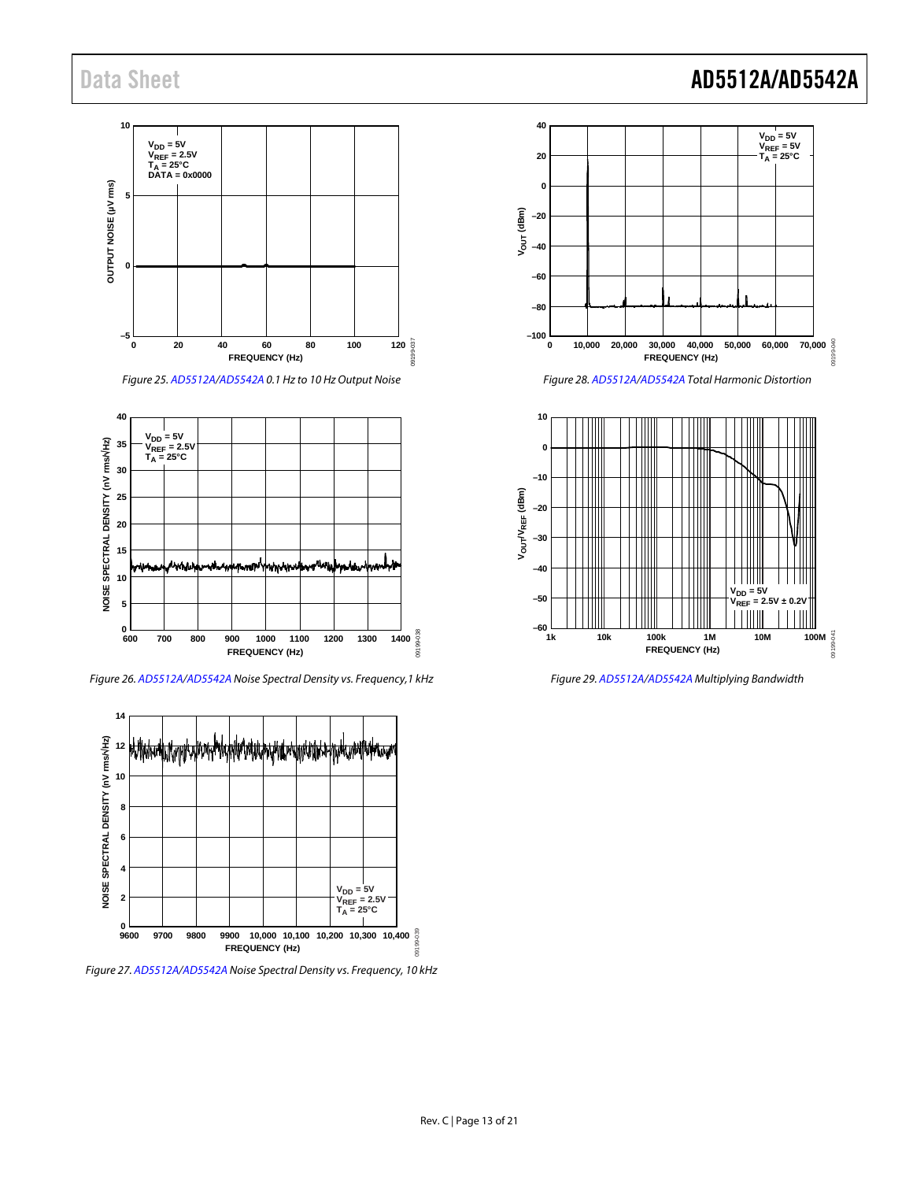### **10 VDD = 5V VREF = 2.5V TA = 25°C DATA = 0x0000** OUTPUT NOISE (µV rms) **OUTPUT NOISE (µV rms) 5 0 –5** 09199-037 **0 20 40 60 80 100 120 FREQUENCY (Hz)**





*Figure 26[. AD5512A](http://www.analog.com/AD5512A?doc=AD5512A_5542A.pdf)[/AD5542A](http://www.analog.com/AD5542A?doc=AD5512A_5542A.pdf) Noise Spectral Density vs. Frequency,1 kHz* 



*Figure 27[. AD5512A](http://www.analog.com/AD5512A?doc=AD5512A_5542A.pdf)[/AD5542A](http://www.analog.com/AD5542A?doc=AD5512A_5542A.pdf) Noise Spectral Density vs. Frequency, 10 kHz*

## Data Sheet **AD5512A/AD5542A**



*Figure 28[. AD5512A](http://www.analog.com/AD5512A?doc=AD5512A_5542A.pdf)[/AD5542A](http://www.analog.com/AD5542A?doc=AD5512A_5542A.pdf) Total Harmonic Distortion* 



*Figure 29[. AD5512A/](http://www.analog.com/AD5512A?doc=AD5512A_5542A.pdf)[AD5542A](http://www.analog.com/AD5542A?doc=AD5512A_5542A.pdf) Multiplying Bandwidth*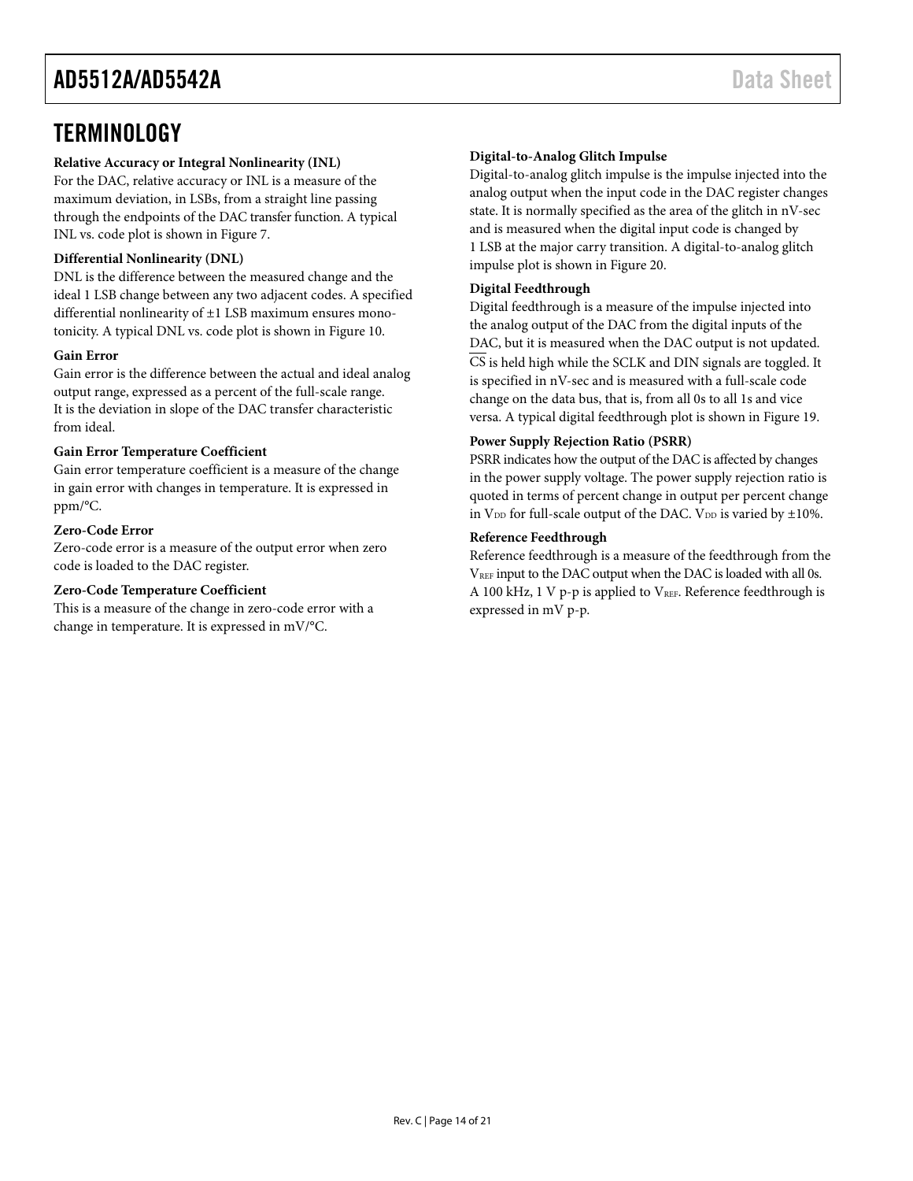### <span id="page-13-0"></span>**TERMINOLOGY**

#### **Relative Accuracy or Integral Nonlinearity (INL)**

For the DAC, relative accuracy or INL is a measure of the maximum deviation, in LSBs, from a straight line passing through the endpoints of the DAC transfer function. A typical INL vs. code plot is shown in [Figure 7.](#page-9-1)

#### **Differential Nonlinearity (DNL)**

DNL is the difference between the measured change and the ideal 1 LSB change between any two adjacent codes. A specified differential nonlinearity of ±1 LSB maximum ensures monotonicity. A typical DNL vs. code plot is shown i[n Figure 10.](#page-9-2)

#### **Gain Error**

Gain error is the difference between the actual and ideal analog output range, expressed as a percent of the full-scale range. It is the deviation in slope of the DAC transfer characteristic from ideal.

#### **Gain Error Temperature Coefficient**

Gain error temperature coefficient is a measure of the change in gain error with changes in temperature. It is expressed in ppm/°C.

#### **Zero-Code Error**

Zero-code error is a measure of the output error when zero code is loaded to the DAC register.

#### **Zero-Code Temperature Coefficient**

This is a measure of the change in zero-code error with a change in temperature. It is expressed in mV/°C.

#### **Digital-to-Analog Glitch Impulse**

Digital-to-analog glitch impulse is the impulse injected into the analog output when the input code in the DAC register changes state. It is normally specified as the area of the glitch in nV-sec and is measured when the digital input code is changed by 1 LSB at the major carry transition. A digital-to-analog glitch impulse plot is shown i[n Figure 20.](#page-11-0)

#### **Digital Feedthrough**

Digital feedthrough is a measure of the impulse injected into the analog output of the DAC from the digital inputs of the DAC, but it is measured when the DAC output is not updated. CS is held high while the SCLK and DIN signals are toggled. It is specified in nV-sec and is measured with a full-scale code change on the data bus, that is, from all 0s to all 1s and vice versa. A typical digital feedthrough plot is shown in [Figure](#page-11-1) 19.

#### **Power Supply Rejection Ratio (PSRR)**

PSRR indicates how the output of the DAC is affected by changes in the power supply voltage. The power supply rejection ratio is quoted in terms of percent change in output per percent change in  $V_{DD}$  for full-scale output of the DAC.  $V_{DD}$  is varied by  $\pm 10\%$ .

#### **Reference Feedthrough**

Reference feedthrough is a measure of the feedthrough from the VREF input to the DAC output when the DAC is loaded with all 0s. A 100 kHz, 1 V p-p is applied to VREF. Reference feedthrough is expressed in mV p-p.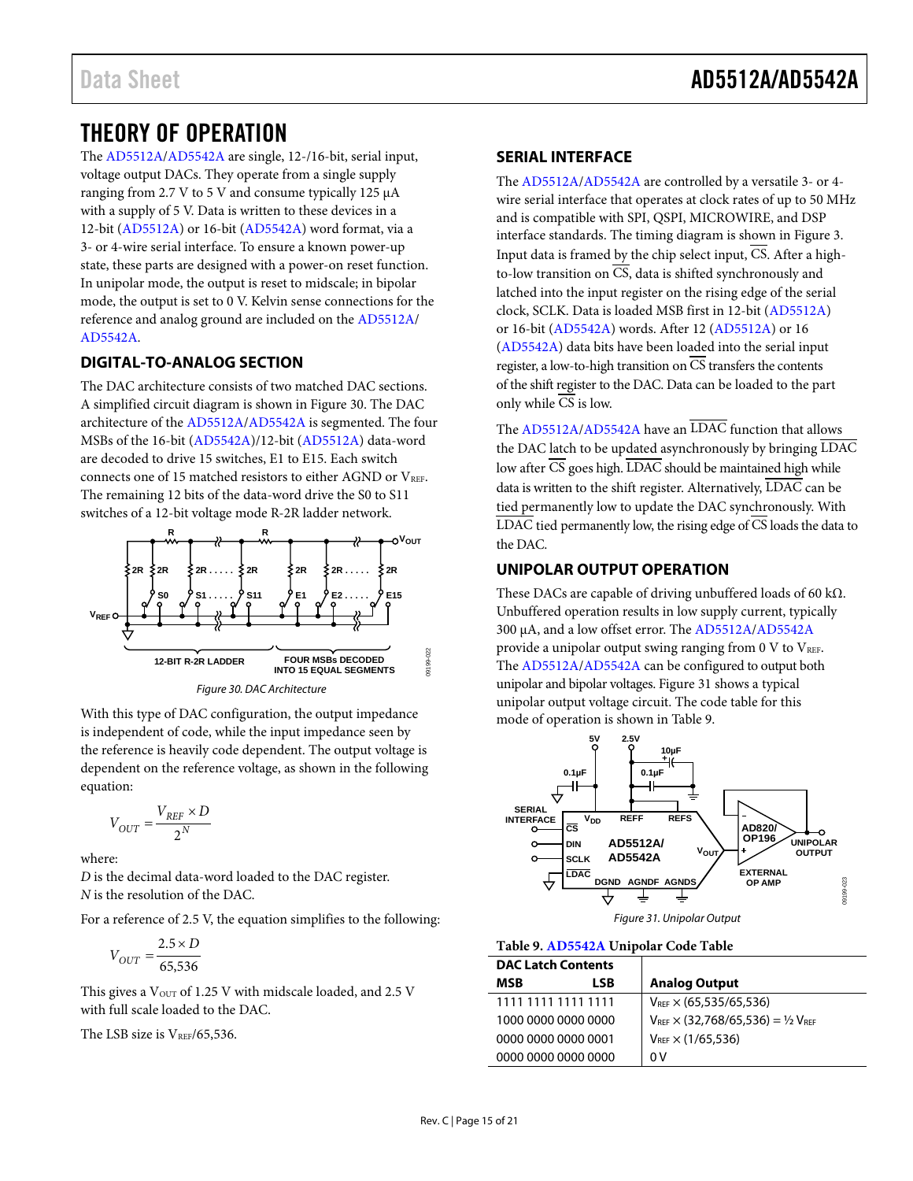### <span id="page-14-0"></span>THEORY OF OPERATION

The [AD5512A/](http://www.analog.com/AD5512A?doc=AD5512A_5542A.pdf)[AD5542A](http://www.analog.com/AD5542A?doc=AD5512A_5542A.pdf) are single, 12-/16-bit, serial input, voltage output DACs. They operate from a single supply ranging from 2.7 V to 5 V and consume typically 125 µA with a supply of 5 V. Data is written to these devices in a 12-bit [\(AD5512A\)](http://www.analog.com/AD5512A?doc=AD5512A_5542A.pdf) or 16-bit [\(AD5542A\)](http://www.analog.com/AD5542A?doc=AD5512A_5542A.pdf) word format, via a 3- or 4-wire serial interface. To ensure a known power-up state, these parts are designed with a power-on reset function. In unipolar mode, the output is reset to midscale; in bipolar mode, the output is set to 0 V. Kelvin sense connections for the reference and analog ground are included on the [AD5512A/](http://www.analog.com/AD5512A?doc=AD5512A_5542A.pdf) [AD5542A.](http://www.analog.com/AD5542A?doc=AD5512A_5542A.pdf)

#### <span id="page-14-1"></span>**DIGITAL-TO-ANALOG SECTION**

The DAC architecture consists of two matched DAC sections. A simplified circuit diagram is shown i[n Figure 30.](#page-14-4) The DAC architecture of th[e AD5512A/](http://www.analog.com/AD5512A?doc=AD5512A_5542A.pdf)[AD5542A](http://www.analog.com/AD5542A?doc=AD5512A_5542A.pdf) is segmented. The four MSBs of the 16-bit [\(AD5542A\)](http://www.analog.com/AD5542A?doc=AD5512A_5542A.pdf)/12-bit [\(AD5512A\)](http://www.analog.com/AD5512A?doc=AD5512A_5542A.pdf) data-word are decoded to drive 15 switches, E1 to E15. Each switch connects one of 15 matched resistors to either AGND or VREF. The remaining 12 bits of the data-word drive the S0 to S11 switches of a 12-bit voltage mode R-2R ladder network.



*Figure 30. DAC Architecture*

<span id="page-14-4"></span>With this type of DAC configuration, the output impedance is independent of code, while the input impedance seen by the reference is heavily code dependent. The output voltage is dependent on the reference voltage, as shown in the following equation:

$$
V_{OUT} = \frac{V_{REF} \times D}{2^N}
$$

where:

*D* is the decimal data-word loaded to the DAC register. *N* is the resolution of the DAC.

For a reference of 2.5 V, the equation simplifies to the following:

$$
V_{OUT} = \frac{2.5 \times D}{65,536}
$$

This gives a  $V_{\text{OUT}}$  of 1.25 V with midscale loaded, and 2.5 V with full scale loaded to the DAC.

The LSB size is  $V_{REF}/65,536$ .

#### <span id="page-14-2"></span>**SERIAL INTERFACE**

The [AD5512A/](http://www.analog.com/AD5512A?doc=AD5512A_5542A.pdf)[AD5542A](http://www.analog.com/AD5542A?doc=AD5512A_5542A.pdf) are controlled by a versatile 3- or 4 wire serial interface that operates at clock rates of up to 50 MHz and is compatible with SPI, QSPI, MICROWIRE, and DSP interface standards. The timing diagram is shown in [Figure 3.](#page-5-1)  Input data is framed by the chip select input, CS. After a highto-low transition on  $\overline{CS}$ , data is shifted synchronously and latched into the input register on the rising edge of the serial clock, SCLK. Data is loaded MSB first in 12-bit [\(AD5512A\)](http://www.analog.com/AD5512A?doc=AD5512A_5542A.pdf) or 16-bit [\(AD5542A\)](http://www.analog.com/AD5542A?doc=AD5512A_5542A.pdf) words. After 12 [\(AD5512A\)](http://www.analog.com/AD5512A?doc=AD5512A_5542A.pdf) or 16 [\(AD5542A\)](http://www.analog.com/AD5542A?doc=AD5512A_5542A.pdf) data bits have been loaded into the serial input register, a low-to-high transition on CS transfers the contents of the shift register to the DAC. Data can be loaded to the part only while  $\overline{\text{CS}}$  is low.

The [AD5512A/](http://www.analog.com/AD5512A?doc=AD5512A_5542A.pdf)[AD5542A](http://www.analog.com/AD5542A?doc=AD5512A_5542A.pdf) have an LDAC function that allows the DAC latch to be updated asynchronously by bringing LDAC low after CS goes high. LDAC should be maintained high while data is written to the shift register. Alternatively, LDAC can be tied permanently low to update the DAC synchronously. With  $\overline{\text{LDAC}}$  tied permanently low, the rising edge of  $\overline{\text{CS}}$  loads the data to the DAC.

#### <span id="page-14-3"></span>**UNIPOLAR OUTPUT OPERATION**

These DACs are capable of driving unbuffered loads of 60 k $\Omega$ . Unbuffered operation results in low supply current, typically 300 μA, and a low offset error. The [AD5512A](http://www.analog.com/AD5512A?doc=AD5512A_5542A.pdf)[/AD5542A](http://www.analog.com/AD5542A?doc=AD5512A_5542A.pdf) provide a unipolar output swing ranging from  $0 \text{ V}$  to  $V_{REF}$ . The [AD5512A/](http://www.analog.com/AD5512A?doc=AD5512A_5542A.pdf)[AD5542A](http://www.analog.com/AD5542A?doc=AD5512A_5542A.pdf) can be configured to output both unipolar and bipolar voltages[. Figure](#page-14-5) 31 shows a typical unipolar output voltage circuit. The code table for this mode of operation is shown i[n Table](#page-14-6) 9.



#### <span id="page-14-6"></span><span id="page-14-5"></span>**Table 9[. AD5542A](http://www.analog.com/AD5542A?doc=AD5512A_5542A.pdf) Unipolar Code Table**

| <b>DAC Latch Contents</b> |     |                                                |
|---------------------------|-----|------------------------------------------------|
| MSB                       | LSB | <b>Analog Output</b>                           |
| 1111 1111 1111 1111       |     | $V_{REF} \times (65.535/65.536)$               |
| 1000 0000 0000 0000       |     | $V_{REF} \times (32,768/65,536) = 1/2 V_{REF}$ |
| ,0000,0000,0000,0001      |     | $V_{REF} \times (1/65,536)$                    |
| 0000 0000 0000 0000       |     | 0 V                                            |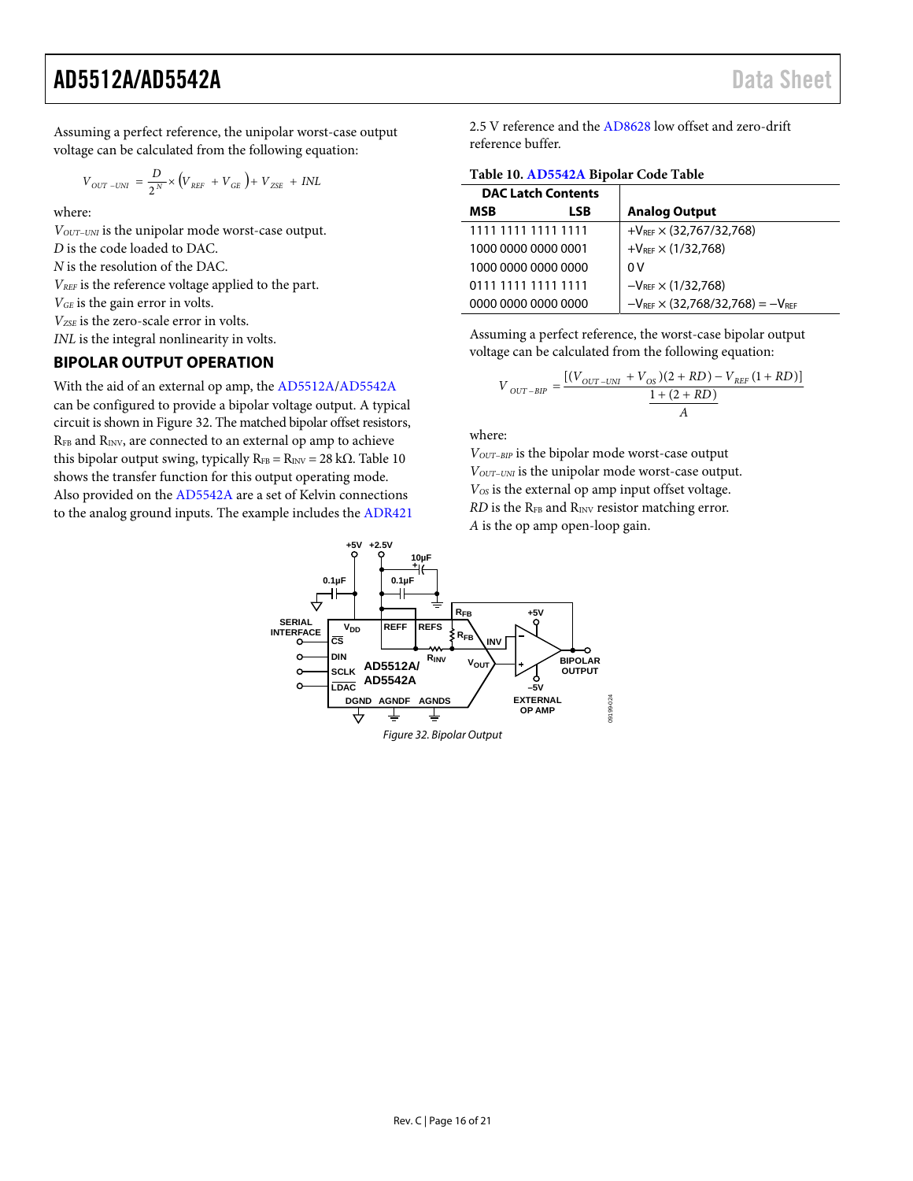Assuming a perfect reference, the unipolar worst-case output voltage can be calculated from the following equation:

$$
V_{OUT-UNI} = \frac{D}{2^N} \times \left(V_{REF} + V_{GE}\right) + V_{ZSE} + INL
$$

where:

*V<sub>OUT-UNI</sub>* is the unipolar mode worst-case output. *D* is the code loaded to DAC. *N* is the resolution of the DAC. *VREF* is the reference voltage applied to the part. *VGE* is the gain error in volts. *VZSE* is the zero-scale error in volts. *INL* is the integral nonlinearity in volts.

#### <span id="page-15-0"></span>**BIPOLAR OUTPUT OPERATION**

With the aid of an external op amp, th[e AD5512A/](http://www.analog.com/AD5512A?doc=AD5512A_5542A.pdf)[AD5542A](http://www.analog.com/AD5542A?doc=AD5512A_5542A.pdf) can be configured to provide a bipolar voltage output. A typical circuit is shown i[n Figure 32.](#page-15-1) The matched bipolar offset resistors, RFB and RINV, are connected to an external op amp to achieve this bipolar output swing, typically  $R_{FB} = R_{INV} = 28$  k $\Omega$ . Table 10 shows the transfer function for this output operating mode. Also provided on the [AD5542A a](http://www.analog.com/AD5542A?doc=AD5512A_5542A.pdf)re a set of Kelvin connections to the analog ground inputs. The example includes the [ADR421](http://www.analog.com/ADR421?doc=AD5512A_5542A.pdf) 2.5 V reference and the [AD8628 l](http://www.analog.com/AD8628?doc=AD5512A_5542A.pdf)ow offset and zero-drift reference buffer.

<span id="page-15-2"></span>**Table 10[. AD5542A](http://www.analog.com/AD5542A?doc=AD5512A_5542A.pdf) Bipolar Code Table** 

| <b>DAC Latch Contents</b> |                                              |
|---------------------------|----------------------------------------------|
| <b>MSR</b><br>LSB         | <b>Analog Output</b>                         |
| 1111 1111 1111 1111       | $+V_{REF} \times (32,767/32,768)$            |
| 1000 0000 0000 0001       | $+V_{RFF} \times (1/32,768)$                 |
| 1000 0000 0000 0000       | 0 V                                          |
| 0111 1111 1111 1111       | $-V_{\text{REF}} \times (1/32,768)$          |
| 0000 0000 0000 0000       | $-V_{REF} \times (32,768/32,768) = -V_{REF}$ |

Assuming a perfect reference, the worst-case bipolar output voltage can be calculated from the following equation:

$$
V_{OUT-BIP} = \frac{[(V_{OUT-UNI} + V_{OS})(2 + RD) - V_{REF}(1 + RD)]}{\frac{1 + (2 + RD)}{A}}
$$

where:

*VOUT−BIP* is the bipolar mode worst-case output *V<sub>OUT−UNI</sub>* is the unipolar mode worst-case output. *VOS* is the external op amp input offset voltage. *RD* is the R<sub>FB</sub> and R<sub>INV</sub> resistor matching error. *A* is the op amp open-loop gain.

<span id="page-15-1"></span>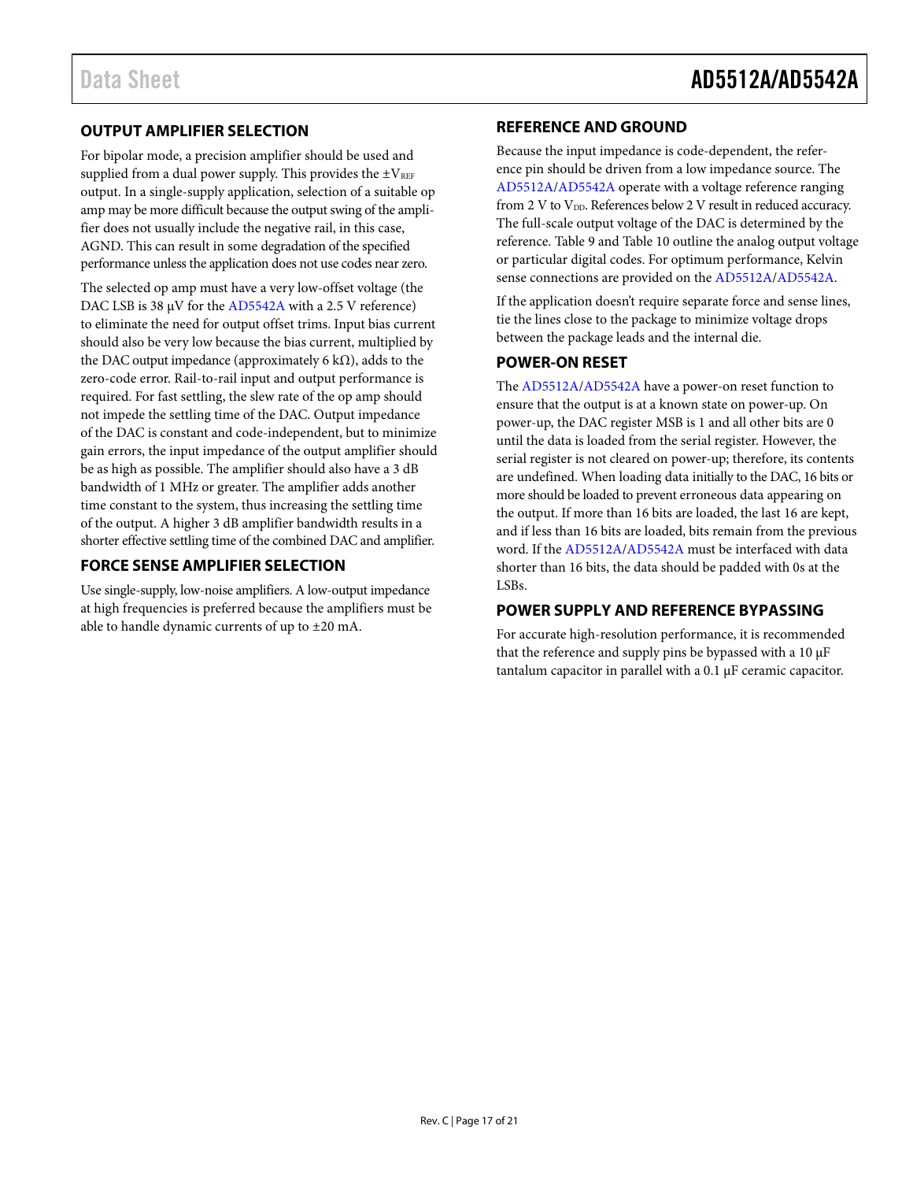#### <span id="page-16-0"></span>**OUTPUT AMPLIFIER SELECTION**

For bipolar mode, a precision amplifier should be used and supplied from a dual power supply. This provides the  $\pm V_{REF}$ output. In a single-supply application, selection of a suitable op amp may be more difficult because the output swing of the amplifier does not usually include the negative rail, in this case, AGND. This can result in some degradation of the specified performance unless the application does not use codes near zero.

The selected op amp must have a very low-offset voltage (the DAC LSB is 38 μV for the [AD5542A](http://www.analog.com/AD5542A?doc=AD5512A_5542A.pdf) with a 2.5 V reference) to eliminate the need for output offset trims. Input bias current should also be very low because the bias current, multiplied by the DAC output impedance (approximately 6 k $\Omega$ ), adds to the zero-code error. Rail-to-rail input and output performance is required. For fast settling, the slew rate of the op amp should not impede the settling time of the DAC. Output impedance of the DAC is constant and code-independent, but to minimize gain errors, the input impedance of the output amplifier should be as high as possible. The amplifier should also have a 3 dB bandwidth of 1 MHz or greater. The amplifier adds another time constant to the system, thus increasing the settling time of the output. A higher 3 dB amplifier bandwidth results in a shorter effective settling time of the combined DAC and amplifier.

#### <span id="page-16-1"></span>**FORCE SENSE AMPLIFIER SELECTION**

Use single-supply, low-noise amplifiers. A low-output impedance at high frequencies is preferred because the amplifiers must be able to handle dynamic currents of up to ±20 mA.

#### <span id="page-16-2"></span>**REFERENCE AND GROUND**

Because the input impedance is code-dependent, the reference pin should be driven from a low impedance source. The [AD5512A/](http://www.analog.com/AD5512A?doc=AD5512A_5542A.pdf)[AD5542A](http://www.analog.com/AD5542A?doc=AD5512A_5542A.pdf) operate with a voltage reference ranging from 2 V to  $V_{DD}$ . References below 2 V result in reduced accuracy. The full-scale output voltage of the DAC is determined by the reference. [Table](#page-14-6) 9 an[d Table 10](#page-15-2) outline the analog output voltage or particular digital codes. For optimum performance, Kelvin sense connections are provided on the [AD5512A](http://www.analog.com/AD5512A?doc=AD5512A_5542A.pdf)[/AD5542A.](http://www.analog.com/AD5542A?doc=AD5512A_5542A.pdf)

If the application doesn't require separate force and sense lines, tie the lines close to the package to minimize voltage drops between the package leads and the internal die.

#### <span id="page-16-3"></span>**POWER-ON RESET**

The [AD5512A/](http://www.analog.com/AD5512A?doc=AD5512A_5542A.pdf)[AD5542A](http://www.analog.com/AD5542A?doc=AD5512A_5542A.pdf) have a power-on reset function to ensure that the output is at a known state on power-up. On power-up, the DAC register MSB is 1 and all other bits are 0 until the data is loaded from the serial register. However, the serial register is not cleared on power-up; therefore, its contents are undefined. When loading data initially to the DAC, 16 bits or more should be loaded to prevent erroneous data appearing on the output. If more than 16 bits are loaded, the last 16 are kept, and if less than 16 bits are loaded, bits remain from the previous word. If the [AD5512A/](http://www.analog.com/AD5512A?doc=AD5512A_5542A.pdf)[AD5542A](http://www.analog.com/AD5542A?doc=AD5512A_5542A.pdf) must be interfaced with data shorter than 16 bits, the data should be padded with 0s at the LSBs.

#### <span id="page-16-4"></span>**POWER SUPPLY AND REFERENCE BYPASSING**

For accurate high-resolution performance, it is recommended that the reference and supply pins be bypassed with a 10 μF tantalum capacitor in parallel with a 0.1 μF ceramic capacitor.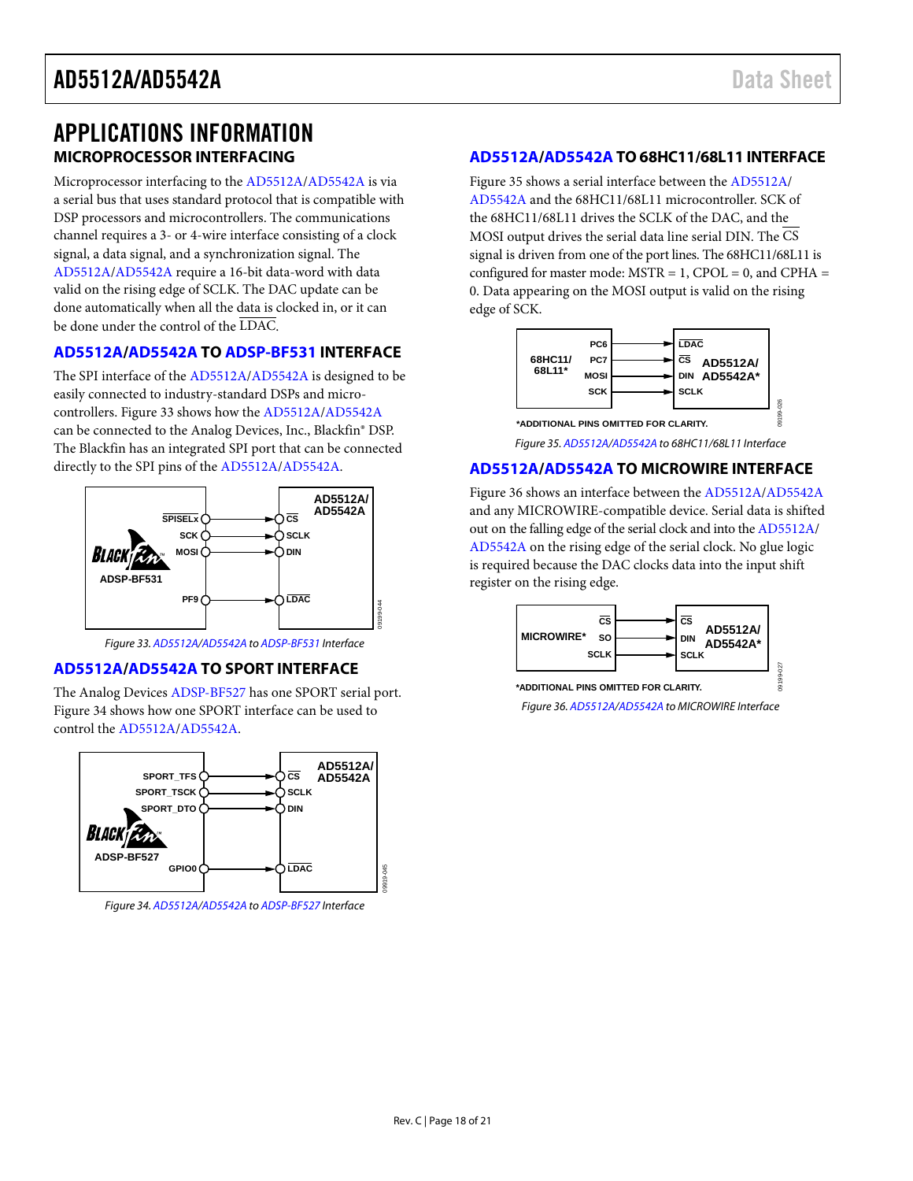### <span id="page-17-0"></span>APPLICATIONS INFORMATION **MICROPROCESSOR INTERFACING**

<span id="page-17-1"></span>Microprocessor interfacing to the [AD5512A/](http://www.analog.com/AD5512A?doc=AD5512A_5542A.pdf)[AD5542A](http://www.analog.com/AD5542A?doc=AD5512A_5542A.pdf) is via a serial bus that uses standard protocol that is compatible with DSP processors and microcontrollers. The communications channel requires a 3- or 4-wire interface consisting of a clock signal, a data signal, and a synchronization signal. The [AD5512A/](http://www.analog.com/AD5512A?doc=AD5512A_5542A.pdf)[AD5542A](http://www.analog.com/AD5542A?doc=AD5512A_5542A.pdf) require a 16-bit data-word with data valid on the rising edge of SCLK. The DAC update can be done automatically when all the data is clocked in, or it can be done under the control of the LDAC.

#### <span id="page-17-2"></span>**[AD5512A/](http://www.analog.com/AD5512A?doc=AD5512A_5542A.pdf)[AD5542A](http://www.analog.com/AD5542A?doc=AD5512A_5542A.pdf) TO [ADSP-BF531](http://www.analog.com/ADSP-BF531?doc=AD5512A_5542A.pdf) INTERFACE**

The SPI interface of th[e AD5512A/](http://www.analog.com/AD5512A?doc=AD5512A_5542A.pdf)[AD5542A](http://www.analog.com/AD5542A?doc=AD5512A_5542A.pdf) is designed to be easily connected to industry-standard DSPs and microcontrollers. [Figure 33](#page-17-6) shows how th[e AD5512A](http://www.analog.com/AD5512A?doc=AD5512A_5542A.pdf)[/AD5542A](http://www.analog.com/AD5542A?doc=AD5512A_5542A.pdf) can be connected to the Analog Devices, Inc., Blackfin® DSP. The Blackfin has an integrated SPI port that can be connected directly to the SPI pins of the [AD5512A/](http://www.analog.com/AD5512A?doc=AD5512A_5542A.pdf)[AD5542A.](http://www.analog.com/AD5542A?doc=AD5512A_5542A.pdf)



*Figure 33[. AD5512A](http://www.analog.com/AD5512A?doc=AD5512A_5542A.pdf)[/AD5542A](http://www.analog.com/AD5542A?doc=AD5512A_5542A.pdf) t[o ADSP-BF531](http://www.analog.com/ADSP-BF531?doc=AD5512A_5542A.pdf) Interface*

#### <span id="page-17-6"></span><span id="page-17-3"></span>**[AD5512A/](http://www.analog.com/AD5512A?doc=AD5512A_5542A.pdf)[AD5542A](http://www.analog.com/AD5542A?doc=AD5512A_5542A.pdf) TO SPORT INTERFACE**

The Analog Device[s ADSP-BF527](http://www.analog.com/ADSP-BF527?doc=AD5512A_5542A.pdf) has one SPORT serial port. [Figure 34](#page-17-7) shows how one SPORT interface can be used to control th[e AD5512A](http://www.analog.com/AD5512A?doc=AD5512A_5542A.pdf)[/AD5542A.](http://www.analog.com/AD5542A?doc=AD5512A_5542A.pdf)



<span id="page-17-7"></span>*Figure 34[. AD5512A](http://www.analog.com/AD5512A?doc=AD5512A_5542A.pdf)[/AD5542A](http://www.analog.com/AD5542A?doc=AD5512A_5542A.pdf) t[o ADSP-BF527](http://www.analog.com/ADSP-BF527?doc=AD5512A_5542A.pdf) Interface*

#### <span id="page-17-4"></span>**[AD5512A/](http://www.analog.com/AD5512A?doc=AD5512A_5542A.pdf)[AD5542A](http://www.analog.com/AD5542A?doc=AD5512A_5542A.pdf) TO 68HC11/68L11 INTERFACE**

[Figure 35](#page-17-8) shows a serial interface between the [AD5512A/](http://www.analog.com/AD5512A?doc=AD5512A_5542A.pdf) [AD5542A](http://www.analog.com/AD5542A?doc=AD5512A_5542A.pdf) and the 68HC11/68L11 microcontroller. SCK of the 68HC11/68L11 drives the SCLK of the DAC, and the MOSI output drives the serial data line serial DIN. The CS signal is driven from one of the port lines. The 68HC11/68L11 is configured for master mode:  $MSTR = 1$ ,  $CPOL = 0$ , and  $CPHA =$ 0. Data appearing on the MOSI output is valid on the rising edge of SCK.



*Figure 35[. AD5512A/](http://www.analog.com/AD5512A?doc=AD5512A_5542A.pdf)[AD5542A](http://www.analog.com/AD5542A?doc=AD5512A_5542A.pdf) to 68HC11/68L11 Interface*

#### <span id="page-17-8"></span><span id="page-17-5"></span>**[AD5512A/](http://www.analog.com/AD5512A?doc=AD5512A_5542A.pdf)[AD5542A](http://www.analog.com/AD5542A?doc=AD5512A_5542A.pdf) TO MICROWIRE INTERFACE**

[Figure 36](#page-17-9) shows an interface between the [AD5512A](http://www.analog.com/AD5512A?doc=AD5512A_5542A.pdf)[/AD5542A](http://www.analog.com/AD5542A?doc=AD5512A_5542A.pdf) and any MICROWIRE-compatible device. Serial data is shifted out on the falling edge of the serial clock and into th[e AD5512A/](http://www.analog.com/AD5512A?doc=AD5512A_5542A.pdf) [AD5542A](http://www.analog.com/AD5542A?doc=AD5512A_5542A.pdf) on the rising edge of the serial clock. No glue logic is required because the DAC clocks data into the input shift register on the rising edge.



<span id="page-17-9"></span>*Figure 36[. AD5512A/](http://www.analog.com/AD5512A?doc=AD5512A_5542A.pdf)[AD5542A](http://www.analog.com/AD5542A?doc=AD5512A_5542A.pdf) to MICROWIRE Interface*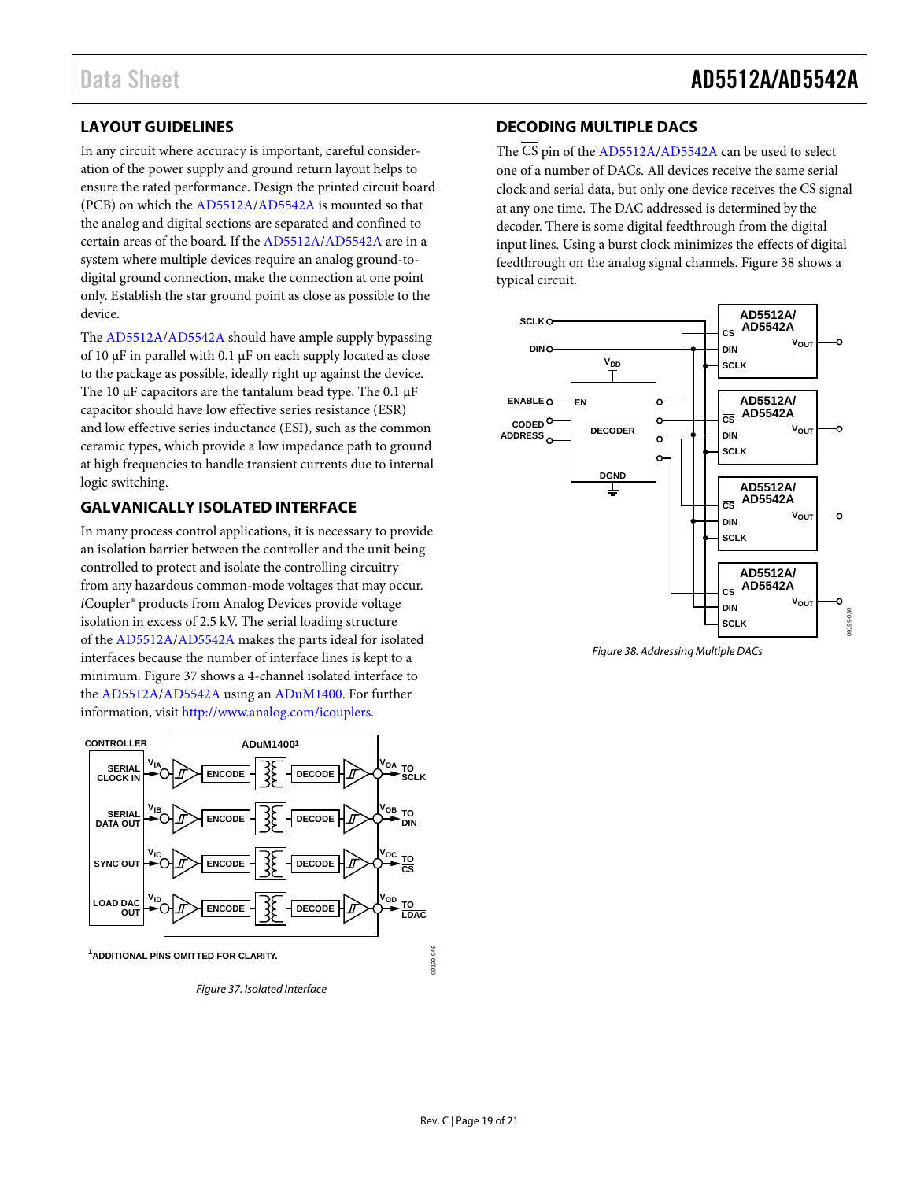### <span id="page-18-0"></span>**LAYOUT GUIDELINES**

In any circuit where accuracy is important, careful consideration of the power supply and ground return layout helps to ensure the rated performance. Design the printed circuit board (PCB) on which th[e AD5512A/](http://www.analog.com/AD5512A?doc=AD5512A_5542A.pdf)[AD5542A](http://www.analog.com/AD5542A?doc=AD5512A_5542A.pdf) is mounted so that the analog and digital sections are separated and confined to certain areas of the board. If th[e AD5512A](http://www.analog.com/AD5512A?doc=AD5512A_5542A.pdf)[/AD5542A](http://www.analog.com/AD5542A?doc=AD5512A_5542A.pdf) are in a system where multiple devices require an analog ground-todigital ground connection, make the connection at one point only. Establish the star ground point as close as possible to the device.

The [AD5512A/](http://www.analog.com/AD5512A?doc=AD5512A_5542A.pdf)[AD5542A](http://www.analog.com/AD5542A?doc=AD5512A_5542A.pdf) should have ample supply bypassing of 10 μF in parallel with 0.1 μF on each supply located as close to the package as possible, ideally right up against the device. The 10  $\mu$ F capacitors are the tantalum bead type. The 0.1  $\mu$ F capacitor should have low effective series resistance (ESR) and low effective series inductance (ESI), such as the common ceramic types, which provide a low impedance path to ground at high frequencies to handle transient currents due to internal logic switching.

#### <span id="page-18-1"></span>**GALVANICALLY ISOLATED INTERFACE**

In many process control applications, it is necessary to provide an isolation barrier between the controller and the unit being controlled to protect and isolate the controlling circuitry from any hazardous common-mode voltages that may occur. *i*Coupler® products from Analog Devices provide voltage isolation in excess of 2.5 kV. The serial loading structure of the [AD5512A](http://www.analog.com/AD5512A?doc=AD5512A_5542A.pdf)[/AD5542A](http://www.analog.com/AD5542A?doc=AD5512A_5542A.pdf) makes the parts ideal for isolated interfaces because the number of interface lines is kept to a minimum. [Figure 37](#page-18-3) shows a 4-channel isolated interface to the [AD5512A](http://www.analog.com/AD5512A?doc=AD5512A_5542A.pdf)[/AD5542A](http://www.analog.com/AD5542A?doc=AD5512A_5542A.pdf) using a[n ADuM1400.](http://www.analog.com/ADuM1400?doc=AD5512A_5542A.pdf) For further information, visit [http://www.analog.com/icouplers.](http://www.analog.com/icouplers) 



<span id="page-18-3"></span>**1 ADDITIONAL PINS OMITTED FOR CLARITY.**

*Figure 37. Isolated Interface*

#### <span id="page-18-2"></span>**DECODING MULTIPLE DACS**

The  $\overline{\text{CS}}$  pin of the [AD5512A](http://www.analog.com/AD5512A?doc=AD5512A_5542A.pdf)[/AD5542A](http://www.analog.com/AD5542A?doc=AD5512A_5542A.pdf) can be used to select one of a number of DACs. All devices receive the same serial clock and serial data, but only one device receives the CS signal at any one time. The DAC addressed is determined by the decoder. There is some digital feedthrough from the digital input lines. Using a burst clock minimizes the effects of digital feedthrough on the analog signal channels[. Figure 38](#page-18-4) shows a typical circuit.



<span id="page-18-4"></span>*Figure 38. Addressing Multiple DACs*

09199-046

19199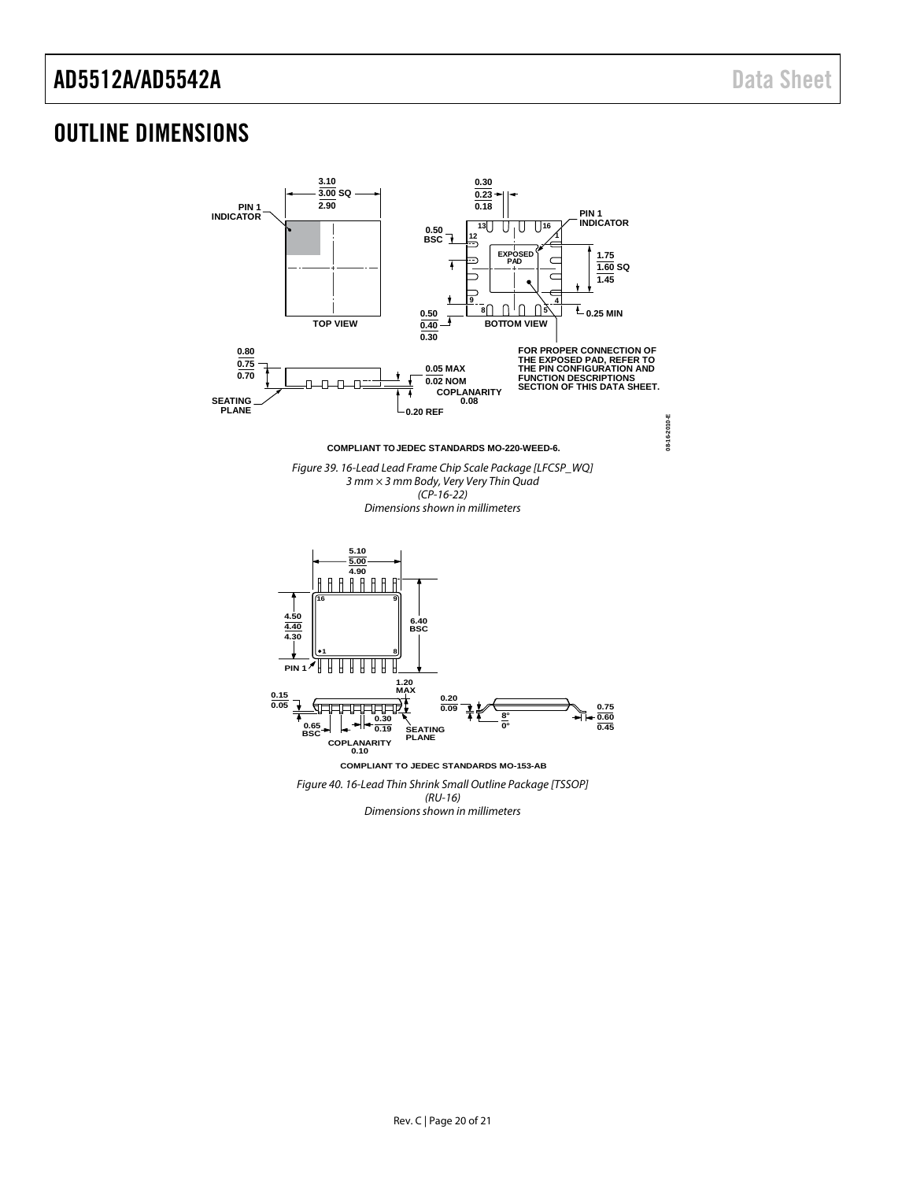### <span id="page-19-0"></span>OUTLINE DIMENSIONS